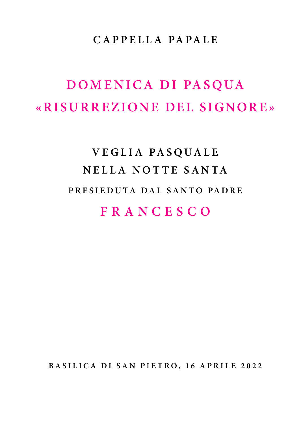## **CAPPELL A PAPALE**

# **DOMENICA DI PASQUA «RISURREZIONE DEL SIGNORE»**

# **VEGLIA PASQUALE NELLA NOTTE SANTA PRESIEDUTA DAL SANTO PADRE FRANCESCO**

**BASILICA DI SAN PIETRO, 16 APRILE 2022**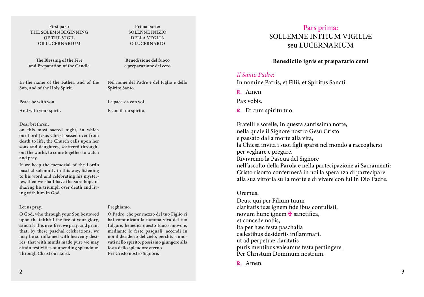**First part: THE SOLEMN BEGINNING OF THE VIGIL OR LUCERNARIUM**

**The Blessing of the Fire and Preparation of the Candle**

**In the name of the Father, and of the Son, and of the Holy Spirit.**

**Peace be with you. La pace sia con voi.**

**Spirito Santo.**

**And with your spirit. E con il tuo spirito.**

**Dear brethren,**

**on this most sacred night, in which our Lord Jesus Christ passed over from death to life, the Church calls upon her sons and daughters, scattered throughout the world, to come together to watch and pray.** 

**If we keep the memorial of the Lord's paschal solemnity in this way, listening to his word and celebrating his mysteries, then we shall have the sure hope of sharing his triumph over death and living with him in God.**

#### **Let us pray. Preghiamo.**

**O God, who through your Son bestowed upon the faithful the fire of your glory, sanctify this new fire, we pray, and grant that, by these paschal celebrations, we may be so inflamed with heavenly desires, that with minds made pure we may attain festivities of unending splendour. Through Christ our Lord.**

**O Padre, che per mezzo del tuo Figlio ci hai comunicato la fiamma viva del tuo fulgore, benedici questo fuoco nuovo e, mediante le feste pasquali, accendi in noi il desiderio del cielo, perché, rinnovati nello spirito, possiamo giungere alla festa dello splendore eterno. Per Cristo nostro Signore.**

**Nel nome del Padre e del Figlio e dello** 

**Benedizione del fuoco e preparazione del cero**

**Prima parte: SOLENNE INIZIO DELLA VEGLIA O LUCERNARIO**

## **Benedictio ignis et præparatio cerei**

## *Il Santo Padre:*

In nomine Patris, et Filii, et Spiritus Sancti.

R. Amen.

Pax vobis.

R. Et cum spiritu tuo.

Fratelli e sorelle, in questa santissima notte, nella quale il Signore nostro Gesù Cristo è passato dalla morte alla vita, la Chiesa invita i suoi figli sparsi nel mondo a raccogliersi per vegliare e pregare. Rivivremo la Pasqua del Signore nell'ascolto della Parola e nella partecipazione ai Sacramenti: Cristo risorto confermerà in noi la speranza di partecipare alla sua vittoria sulla morte e di vivere con lui in Dio Padre.

### Oremus.

Deus, qui per Filium tuum claritatis tuæ ignem fidelibus contulisti, novum hunc ignem  $\mathbf{\nabla}$  sanctifica, et concede nobis, ita per hæc festa paschalia cælestibus desideriis inflammari, ut ad perpetuæ claritatis puris mentibus valeamus festa pertingere. Per Christum Dominum nostrum.

 $R$ . Amen.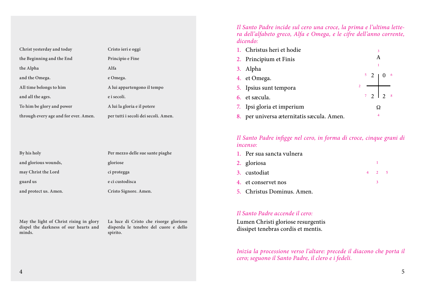| Christ yesterday and today            | Cristo ieri e oggi                   |
|---------------------------------------|--------------------------------------|
| the Beginning and the End             | Principio e Fine                     |
| the Alpha                             | Alfa                                 |
| and the Omega.                        | e Omega.                             |
| All time belongs to him               | A lui appartengono il tempo          |
| and all the ages.                     | e i secoli.                          |
| To him be glory and power             | A lui la gloria e il potere          |
| through every age and for ever. Amen. | per tutti i secoli dei secoli. Amen. |

| By his holy           | Per mezzo delle sue sante piaghe |
|-----------------------|----------------------------------|
| and glorious wounds,  | gloriose                         |
| may Christ the Lord   | ci protegga                      |
| guard us              | e ci custodisca                  |
| and protect us. Amen. | Cristo Signore. Amen.            |

**May the light of Christ rising in glory dispel the darkness of our hearts and minds.**

**La luce di Cristo che risorge glorioso disperda le tenebre del cuore e dello spirito.**

*Il Santo Padre incide sul cero una croce, la prima e l'ultima lettera dell'alfabeto greco, Alfa e Omega, e le cifre dell'anno corrente, dicendo:*

| 1. Christus heri et hodie                 |                | 3           |   |  |
|-------------------------------------------|----------------|-------------|---|--|
| 2. Principium et Finis                    |                | A           |   |  |
| 3. Alpha                                  |                |             |   |  |
| 4. et Omega.                              |                | $5$ 2   0 6 |   |  |
| 5. Ipsius sunt tempora                    | $\overline{2}$ |             |   |  |
| 6. et sæcula.                             |                | 722         |   |  |
| 7. Ipsi gloria et imperium                |                |             | Ω |  |
| 8. per universa æternitatis sæcula. Amen. |                |             | 4 |  |

*Il Santo Padre infigge nel cero, in forma di croce, cinque grani di incenso:*

1. Per sua sancta vulnera 2. gloriosa 3. custodiat 4. et conservet nos 5. Christus Dominus. Amen. 1 3 4 2 5

## *Il Santo Padre accende il cero:*

Lumen Christi gloriose resurgentis dissipet tenebras cordis et mentis.

*Inizia la processione verso l'altare: precede il diacono che porta il cero; seguono il Santo Padre, il clero e i fedeli.*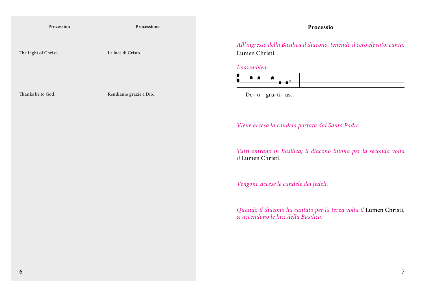**Procession Processione**

**The Light of Christ. La luce di Cristo.**

**Thanks be to God. Rendiamo grazie a Dio.**

## **Processio**

*All'ingresso della Basilica il diacono, tenendo il cero elevato, canta:* Lumen Christi.

*L'assemblea:*



De- o gra-ti- as.

*Viene accesa la candela portata dal Santo Padre.*

*Tutti entrano in Basilica; il diacono intona per la seconda volta il* Lumen Christi*.*

*Vengono accese le candele dei fedeli.*

*Quando il diacono ha cantato per la terza volta il* Lumen Christi*, si accendono le luci della Basilica.*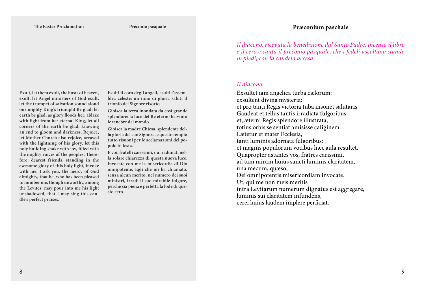### **Exult, let them exult, the hosts of heaven, exult, let Angel ministers of God exult, let the trumpet of salvation sound aloud our mighty King's triumph! Be glad, let earth be glad, as glory floods her, ablaze with light from her eternal King, let all corners of the earth be glad, knowing an end to gloom and darkness. Rejoice, let Mother Church also rejoice, arrayed with the lightning of his glory, let this holy building shake with joy, filled with the mighty voices of the peoples. Therefore, dearest friends, standing in the awesome glory of this holy light, invoke with me, I ask you, the mercy of God almighty, that he, who has been pleased to number me, though unworthy, among the Levites, may pour into me his light unshadowed, that I may sing this candle's perfect praises.**

**Esulti il coro degli angeli, esulti l'assemblea celeste: un inno di gloria saluti il trionfo del Signore risorto.**

**Gioisca la terra inondata da così grande splendore: la luce del Re eterno ha vinto le tenebre del mondo.**

**Gioisca la madre Chiesa, splendente della gloria del suo Signore, e questo tempio tutto risuoni per le acclamazioni del popolo in festa.**

**E voi, fratelli carissimi, qui radunati nella solare chiarezza di questa nuova luce, invocate con me la misericordia di Dio onnipotente. Egli che mi ha chiamato, senza alcun merito, nel numero dei suoi ministri, irradi il suo mirabile fulgore, perché sia piena e perfetta la lode di questo cero.** 

## **Præconium paschale**

*Il diacono, ricevuta la benedizione dal Santo Padre, incensa il libro e il cero e canta il preconio pasquale, che i fedeli ascoltano stando in piedi, con la candela accesa.*

## *Il diacono:*

Exsultet iam angelica turba cælorum: exsultent divina mysteria: et pro tanti Regis victoria tuba insonet salutaris. Gaudeat et tellus tantis irradiata fulgoribus: et, æterni Regis splendore illustrata, totius orbis se sentiat amisisse caliginem. Lætetur et mater Ecclesia, tanti luminis adornata fulgoribus: et magnis populorum vocibus hæc aula resultet. Quapropter astantes vos, fratres carissimi, ad tam miram huius sancti luminis claritatem, una mecum, quæso, Dei omnipotentis misericordiam invocate. Ut, qui me non meis meritis intra Levitarum numerum dignatus est aggregare, luminis sui claritatem infundens, cerei huius laudem implere perficiat.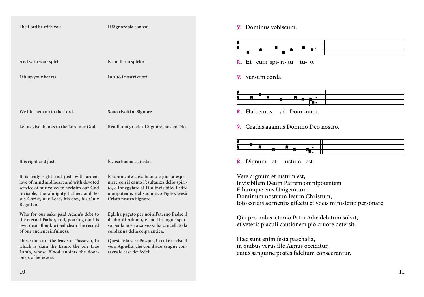| The Lord be with you.                                                                                                                                                                                                             | Il Signore sia con voi.                                                                                                                                                                                 | V. Dominus vobiscum.                                                                                                                                                                                |
|-----------------------------------------------------------------------------------------------------------------------------------------------------------------------------------------------------------------------------------|---------------------------------------------------------------------------------------------------------------------------------------------------------------------------------------------------------|-----------------------------------------------------------------------------------------------------------------------------------------------------------------------------------------------------|
|                                                                                                                                                                                                                                   |                                                                                                                                                                                                         |                                                                                                                                                                                                     |
| And with your spirit.                                                                                                                                                                                                             | E con il tuo spirito.                                                                                                                                                                                   | $\hat{\mathbf{R}}$ . Et cum spi- ri- tu<br>tu- o.                                                                                                                                                   |
| Lift up your hearts.                                                                                                                                                                                                              | In alto i nostri cuori.                                                                                                                                                                                 | Sursum corda.<br>V.                                                                                                                                                                                 |
|                                                                                                                                                                                                                                   |                                                                                                                                                                                                         |                                                                                                                                                                                                     |
| We lift them up to the Lord.                                                                                                                                                                                                      | Sono rivolti al Signore.                                                                                                                                                                                | R. Ha-bemus<br>ad Domi-num.                                                                                                                                                                         |
| Let us give thanks to the Lord our God.                                                                                                                                                                                           | Rendiamo grazie al Signore, nostro Dio.                                                                                                                                                                 | V. Gratias agamus Domino Deo nostro.                                                                                                                                                                |
|                                                                                                                                                                                                                                   |                                                                                                                                                                                                         | n.                                                                                                                                                                                                  |
| It is right and just.                                                                                                                                                                                                             | È cosa buona e giusta.                                                                                                                                                                                  | R. Dignum et iustum est.                                                                                                                                                                            |
| It is truly right and just, with ardent<br>love of mind and heart and with devoted<br>service of our voice, to acclaim our God<br>invisible, the almighty Father, and Je-<br>sus Christ, our Lord, his Son, his Only<br>Begotten. | È veramente cosa buona e giusta espri-<br>mere con il canto l'esultanza dello spiri-<br>to, e inneggiare al Dio invisibile, Padre<br>onnipotente, e al suo unico Figlio, Gesù<br>Cristo nostro Signore. | Vere dignum et iustum est,<br>invisibilem Deum Patrem omnipotentem<br>Filiumque eius Unigenitum,<br>Dominum nostrum Iesum Christum,<br>toto cordis ac mentis affectu et vocis ministerio personare. |
| Who for our sake paid Adam's debt to<br>the eternal Father, and, pouring out his<br>own dear Blood, wiped clean the record<br>of our ancient sinfulness.                                                                          | Egli ha pagato per noi all'eterno Padre il<br>debito di Adamo, e con il sangue spar-<br>so per la nostra salvezza ha cancellato la<br>condanna della colpa antica.                                      | Qui pro nobis æterno Patri Adæ debitum solvit,<br>et veteris piaculi cautionem pio cruore detersit.                                                                                                 |
| These then are the feasts of Passover, in<br>which is slain the Lamb, the one true<br>Lamb, whose Blood anoints the door-<br>posts of believers.                                                                                  | Questa è la vera Pasqua, in cui è ucciso il<br>vero Agnello, che con il suo sangue con-<br>sacra le case dei fedeli.                                                                                    | Hæc sunt enim festa paschalia,<br>in quibus verus ille Agnus occiditur,<br>cuius sanguine postes fidelium consecrantur.                                                                             |
| 10                                                                                                                                                                                                                                |                                                                                                                                                                                                         | 11                                                                                                                                                                                                  |



- R. Et cum spi- ri- tu tu- o.
- V. Sursum corda.



- $\hat{\mathbf{R}}$ . Ha-bemus ad Domi-num.
- y. Gratias agamus Domino Deo nostro.

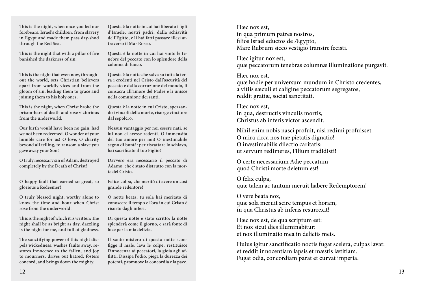**This is the night, when once you led our forebears, Israel's children, from slavery in Egypt and made them pass dry-shod through the Red Sea.**

**This is the night that with a pillar of fire banished the darkness of sin.**

**This is the night that even now, throughout the world, sets Christian believers apart from worldly vices and from the gloom of sin, leading them to grace and joining them to his holy ones.**

**This is the night, when Christ broke the prison-bars of death and rose victorious from the underworld.**

**Our birth would have been no gain, had we not been redeemed. O wonder of your humble care for us! O love, O charity beyond all telling, to ransom a slave you gave away your Son!**

**O truly necessary sin of Adam, destroyed completely by the Death of Christ!**

**O happy fault that earned so great, so glorious a Redeemer!**

**O truly blessed night, worthy alone to know the time and hour when Christ rose from the underworld!**

**This is the night of which it is written: The night shall be as bright as day, dazzling is the night for me, and full of gladness.**

**The sanctifying power of this night dispels wickedness, washes faults away, restores innocence to the fallen, and joy to mourners, drives out hatred, fosters concord, and brings down the mighty.**

**Questa è la notte in cui hai liberato i figli d'Israele, nostri padri, dalla schiavitù dell'Egitto, e li hai fatti passare illesi attraverso il Mar Rosso.**

**Questa è la notte in cui hai vinto le tenebre del peccato con lo splendore della colonna di fuoco.**

**Questa è la notte che salva su tutta la terra i credenti nel Cristo dall'oscurità del peccato e dalla corruzione del mondo, li consacra all'amore del Padre e li unisce nella comunione dei santi.**

**Questa è la notte in cui Cristo, spezzando i vincoli della morte, risorge vincitore dal sepolcro.**

**Nessun vantaggio per noi essere nati, se lui non ci avesse redenti. O immensità del tuo amore per noi! O inestimabile segno di bontà: per riscattare lo schiavo, hai sacrificato il tuo Figlio!**

**Davvero era necessario il peccato di Adamo, che è stato distrutto con la morte del Cristo.** 

**Felice colpa, che meritò di avere un così grande redentore!**

**O notte beata, tu sola hai meritato di conoscere il tempo e l'ora in cui Cristo è risorto dagli inferi.** 

**Di questa notte è stato scritto: la notte splenderà come il giorno, e sarà fonte di luce per la mia delizia.**

**Il santo mistero di questa notte sconfigge il male, lava le colpe, restituisce l'innocenza ai peccatori, la gioia agli afflitti. Dissipa l'odio, piega la durezza dei potenti, promuove la concordia e la pace.**

Hæc nox est, in qua primum patres nostros, filios Israel eductos de Ægypto, Mare Rubrum sicco vestigio transire fecisti.

Hæc igitur nox est, quæ peccatorum tenebras columnæ illuminatione purgavit.

## Hæc nox est,

quæ hodie per universum mundum in Christo credentes, a vitiis sæculi et caligine peccatorum segregatos, reddit gratiæ, sociat sanctitati.

Hæc nox est, in qua, destructis vinculis mortis, Christus ab inferis victor ascendit.

Nihil enim nobis nasci profuit, nisi redimi profuisset. O mira circa nos tuæ pietatis dignatio! O inæstimabilis dilectio caritatis: ut servum redimeres, Filium tradidisti!

O certe necessarium Adæ peccatum, quod Christi morte deletum est!

O felix culpa, quæ talem ac tantum meruit habere Redemptorem!

O vere beata nox, quæ sola meruit scire tempus et horam, in qua Christus ab inferis resurrexit!

Hæc nox est, de qua scriptum est: Et nox sicut dies illuminabitur: et nox illuminatio mea in deliciis meis.

Huius igitur sanctificatio noctis fugat scelera, culpas lavat: et reddit innocentiam lapsis et mæstis lætitiam. Fugat odia, concordiam parat et curvat imperia.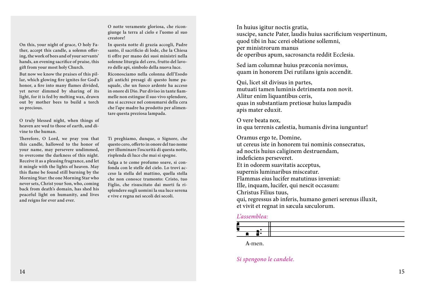**On this, your night of grace, O holy Father, accept this candle, a solemn offering, the work of bees and of your servants' hands, an evening sacrifice of praise, this gift from your most holy Church.**

**But now we know the praises of this pillar, which glowing fire ignites for God's honor, a fire into many flames divided, yet never dimmed by sharing of its light, for it is fed by melting wax, drawn out by mother bees to build a torch so precious.**

**O truly blessed night, when things of heaven are wed to those of earth, and divine to the human.**

**Therefore, O Lord, we pray you that this candle, hallowed to the honor of your name, may persevere undimmed, to overcome the darkness of this night. Receive it as a pleasing fragrance, and let it mingle with the lights of heaven. May this flame be found still burning by the Morning Star: the one Morning Star who never sets, Christ your Son, who, coming back from death's domain, has shed his peaceful light on humanity, and lives and reigns for ever and ever.**

**O notte veramente gloriosa, che ricongiunge la terra al cielo e l'uomo al suo creatore!** 

**In questa notte di grazia accogli, Padre santo, il sacrificio di lode, che la Chiesa ti offre per mano dei suoi ministri nella solenne liturgia del cero, frutto del lavoro delle api, simbolo della nuova luce.**

**Riconosciamo nella colonna dell'Esodo gli antichi presagi di questo lume pasquale, che un fuoco ardente ha acceso in onore di Dio. Pur diviso in tante fiammelle non estingue il suo vivo splendore, ma si accresce nel consumarsi della cera che l'ape madre ha prodotto per alimentare questa preziosa lampada.**

**Ti preghiamo, dunque, o Signore, che questo cero, offerto in onore del tuo nome per illuminare l'oscurità di questa notte, risplenda di luce che mai si spegne.** 

**Salga a te come profumo soave, si confonda con le stelle del cielo. Lo trovi acceso la stella del mattino, quella stella che non conosce tramonto: Cristo, tuo Figlio, che risuscitato dai morti fa risplendere sugli uomini la sua luce serena e vive e regna nei secoli dei secoli.** 

In huius igitur noctis gratia, suscipe, sancte Pater, laudis huius sacrificium vespertinum, quod tibi in hac cerei oblatione sollemni, per ministrorum manus de operibus apum, sacrosancta reddit Ecclesia.

Sed iam columnæ huius præconia novimus, quam in honorem Dei rutilans ignis accendit.

Qui, licet sit divisus in partes, mutuati tamen luminis detrimenta non novit. Alitur enim liquantibus ceris, quas in substantiam pretiosæ huius lampadis apis mater eduxit.

O vere beata nox, in qua terrenis cælestia, humanis divina iunguntur!

Oramus ergo te, Domine, ut cereus iste in honorem tui nominis consecratus, ad noctis huius caliginem destruendam, indeficiens perseveret. Et in odorem suavitatis acceptus, supernis luminaribus misceatur. Flammas eius lucifer matutinus inveniat: Ille, inquam, lucifer, qui nescit occasum: Christus Filius tuus, qui, regressus ab inferis, humano generi serenus illuxit, et vivit et regnat in sæcula sæculorum.

## *L'assemblea:*

A-men.

## *Si spengono le candele.*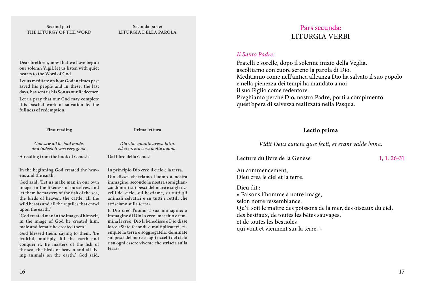#### **Second part: THE LITURGY OF THE WORD**

**Seconda parte: LITURGIA DELLA PAROLA**

**Dear brethren, now that we have begun our solemn Vigil, let us listen with quiet hearts to the Word of God.**

**Let us meditate on how God in times past saved his people and in these, the last days, has sent us his Son as our Redeemer.**

**Let us pray that our God may complete this paschal work of salvation by the fullness of redemption.**

#### **First reading**  Prima lettura

*God saw all he had made, and indeed it was very good.*

**A reading from the book of Genesis Dal libro della Genesi**

**In the beginning God created the heavens and the earth.**

**God said, 'Let us make man in our own image, in the likeness of ourselves, and let them be masters of the fish of the sea, the birds of heaven, the cattle, all the wild beasts and all the reptiles that crawl upon the earth.'**

**'God created man in the image of himself, in the image of God he created him, male and female he created them.'**

**God blessed them, saying to them, 'Be fruitful, multiply, fill the earth and conquer it. Be masters of the fish of the sea, the birds of heaven and all living animals on the earth.' God said,** 

*Dio vide quanto aveva fatto, ed ecco, era cosa molto buona.*

**In principio Dio creò il cielo e la terra. Dio disse: «Facciamo l'uomo a nostra immagine, secondo la nostra somiglianza: domini sui pesci del mare e sugli uccelli del cielo, sul bestiame, su tutti gli animali selvatici e su tutti i rettili che strisciano sulla terra».**

**E Dio creò l'uomo a sua immagine; a immagine di Dio lo creò: maschio e femmina li creò. Dio li benedisse e Dio disse loro: «Siate fecondi e moltiplicatevi, riempite la terra e soggiogatela, dominate sui pesci del mare e sugli uccelli del cielo e su ogni essere vivente che striscia sulla terra».**

## Pars secunda: Liturgia verbi

### *Il Santo Padre:*

Fratelli e sorelle, dopo il solenne inizio della Veglia, ascoltiamo con cuore sereno la parola di Dio. Meditiamo come nell'antica alleanza Dio ha salvato il suo popolo e nella pienezza dei tempi ha mandato a noi il suo Figlio come redentore. Preghiamo perché Dio, nostro Padre, porti a compimento quest'opera di salvezza realizzata nella Pasqua.

## **Lectio prima**

*Vidit Deus cuncta quæ fecit, et erant valde bona.*

Lecture du livre de la Genèse 1, 1. 26-31

Au commencement, Dieu créa le ciel et la terre.

Dieu dit : « Faisons l'homme à notre image, selon notre ressemblance. Qu'il soit le maître des poissons de la mer, des oiseaux du ciel, des bestiaux, de toutes les bêtes sauvages, et de toutes les bestioles qui vont et viennent sur la terre. »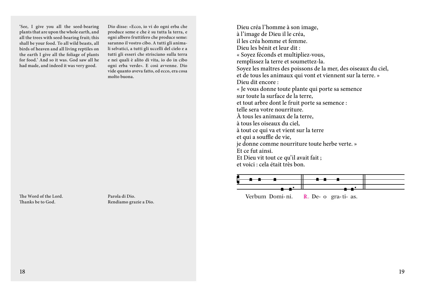**'See, I give you all the seed-bearing plants that are upon the whole earth, and all the trees with seed-bearing fruit; this shall be your food. To all wild beasts, all birds of heaven and all living reptiles on the earth I give all the foliage of plants for food.' And so it was. God saw all he had made, and indeed it was very good.**

**Dio disse: «Ecco, io vi do ogni erba che produce seme e che è su tutta la terra, e ogni albero fruttifero che produce seme: saranno il vostro cibo. A tutti gli animali selvatici, a tutti gli uccelli del cielo e a tutti gli esseri che strisciano sulla terra e nei quali è alito di vita, io do in cibo ogni erba verde». E così avvenne. Dio vide quanto aveva fatto, ed ecco, era cosa molto buona.**

**The Word of the Lord. Thanks be to God.**

**Parola di Dio. Rendiamo grazie a Dio.** Dieu créa l'homme à son image, à l'image de Dieu il le créa, il les créa homme et femme. Dieu les bénit et leur dit : « Soyez féconds et multipliez-vous, remplissez la terre et soumettez-la. Soyez les maîtres des poissons de la mer, des oiseaux du ciel, et de tous les animaux qui vont et viennent sur la terre. » Dieu dit encore : « Je vous donne toute plante qui porte sa semence sur toute la surface de la terre, et tout arbre dont le fruit porte sa semence : telle sera votre nourriture. À tous les animaux de la terre, à tous les oiseaux du ciel, à tout ce qui va et vient sur la terre et qui a souffle de vie, je donne comme nourriture toute herbe verte. » Et ce fut ainsi. Et Dieu vit tout ce qu'il avait fait ; et voici : cela était très bon.



Verbum Domi-ni. R. De- o gra-ti- as.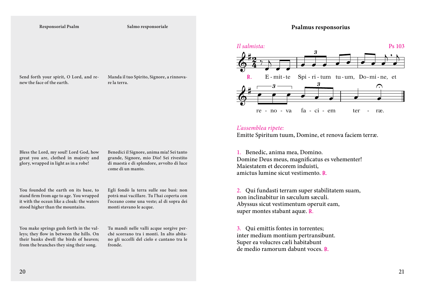#### **Responsorial Psalm Salmo responsoriale**

**Psalmus responsorius**

**Send forth your spirit, O Lord, and renew the face of the earth.**

**Manda il tuo Spirito, Signore, a rinnovare la terra.**

**Bless the Lord, my soul! Lord God, how great you are, clothed in majesty and glory, wrapped in light as in a robe!**

**grande, Signore, mio Dio! Sei rivestito di maestà e di splendore, avvolto di luce come di un manto.**

**Benedici il Signore, anima mia! Sei tanto** 

**You founded the earth on its base, to stand firm from age to age. You wrapped it with the ocean like a cloak: the waters stood higher than the mountains.**

**Egli fondò la terra sulle sue basi: non potrà mai vacillare. Tu l'hai coperta con l'oceano come una veste; al di sopra dei monti stavano le acque.**

**You make springs gush forth in the valleys; they flow in between the hills. On their banks dwell the birds of heaven; from the branches they sing their song.**

**Tu mandi nelle valli acque sorgive perché scorrano tra i monti. In alto abitano gli uccelli del cielo e cantano tra le fronde.**



## *L'assemblea ripete:*

Emitte Spiritum tuum, Domine, et renova faciem terræ.

1. Benedic, anima mea, Domino. Domine Deus meus, magnificatus es vehementer! Maiestatem et decorem induisti, amictus lumine sicut vestimento.  $\hat{\mathbf{R}}$ .

2. Qui fundasti terram super stabilitatem suam, non inclinabitur in sæculum sæculi. Abyssus sicut vestimentum operuit eam, super montes stabant aquæ.  $\hat{\mathbf{R}}$ .

3. Qui emittis fontes in torrentes; inter medium montium pertransibunt. Super ea volucres cæli habitabunt de medio ramorum dabunt voces. R.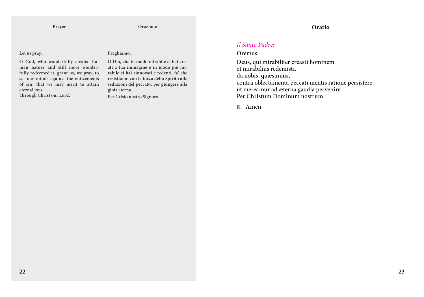**Prayer Orazione**

#### **Let us pray. Preghiamo.**

**O God, who wonderfully created human nature and still more wonderfully redeemed it, grant us, we pray, to set our minds against the enticements of sin, that we may merit to attain eternal joys.**

**Through Christ our Lord.**

**O Dio, che in modo mirabile ci hai creati a tua immagine e in modo più mirabile ci hai rinnovati e redenti, fa' che resistiamo con la forza dello Spirito alle seduzioni del peccato, per giungere alla gioia eterna.**

**Per Cristo nostro Signore.**

## **Oratio**

## *Il Santo Padre:*

### Oremus.

Deus, qui mirabiliter creasti hominem et mirabilius redemisti, da nobis, quæsumus, contra oblectamenta peccati mentis ratione persistere, ut mereamur ad æterna gaudia pervenire. Per Christum Dominum nostrum.

R. Amen.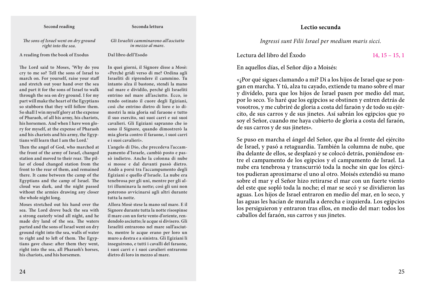#### **Second reading Seconda lettura**

*Gli Israeliti camminarono all'asciutto in mezzo al mare.*

*The sons of Israel went on dry ground right into the sea.*

**A reading from the book of Exodus Dal libro dell'Esodo**

**The Lord said to Moses, 'Why do you cry to me so? Tell the sons of Israel to march on. For yourself, raise your staff and stretch out your hand over the sea and part it for the sons of Israel to walk through the sea on dry ground. I for my part will make the heart of the Egyptians so stubborn that they will follow them. So shall I win myself glory at the expense of Pharaoh, of all his army, his chariots, his horsemen. And when I have won glory for myself, at the expense of Pharaoh and his chariots and his army, the Egyptians will learn that I am the Lord.'**

**Then the angel of God, who marched at the front of the army of Israel, changed station and moved to their rear. The pillar of cloud changed station from the front to the rear of them, and remained there. It came between the camp of the Egyptians and the camp of Israel. The cloud was dark, and the night passed without the armies drawing any closer the whole night long.**

**Moses stretched out his hand over the sea. The Lord drove back the sea with a strong easterly wind all night, and he made dry land of the sea. The waters parted and the sons of Israel went on dry ground right into the sea, walls of water to right and to left of them. The Egyptians gave chase: after them they went, right into the sea, all Pharaoh's horses, his chariots, and his horsemen.**

**In quei giorni, il Signore disse a Mosè: «Perché gridi verso di me? Ordina agli Israeliti di riprendere il cammino. Tu intanto alza il bastone, stendi la mano sul mare e dividilo, perché gli Israeliti entrino nel mare all'asciutto. Ecco, io rendo ostinato il cuore degli Egiziani, così che entrino dietro di loro e io dimostri la mia gloria sul faraone e tutto il suo esercito, sui suoi carri e sui suoi cavalieri. Gli Egiziani sapranno che io sono il Signore, quando dimostrerò la mia gloria contro il faraone, i suoi carri e i suoi cavalieri».**

**L'angelo di Dio, che precedeva l'accampamento d'Israele, cambiò posto e passò indietro. Anche la colonna di nube si mosse e dal davanti passò dietro. Andò a porsi tra l'accampamento degli Egiziani e quello d'Israele. La nube era tenebrosa per gli uni, mentre per gli altri illuminava la notte; così gli uni non poterono avvicinarsi agli altri durante tutta la notte.**

**Allora Mosè stese la mano sul mare. E il Signore durante tutta la notte risospinse il mare con un forte vento d'oriente, rendendolo asciutto; le acque si divisero. Gli Israeliti entrarono nel mare sull'asciutto, mentre le acque erano per loro un muro a destra e a sinistra. Gli Egiziani li inseguirono, e tutti i cavalli del faraone, i suoi carri e i suoi cavalieri entrarono dietro di loro in mezzo al mare.**

## **Lectio secunda**

## *Ingressi sunt Filii Israel per medium maris sicci.*

Lectura del libro del Éxodo 14, 15 – 15, 1

En aquellos días, el Señor dijo a Moisés:

«¿Por qué sigues clamando a mí? Di a los hijos de Israel que se pongan en marcha. Y tú, alza tu cayado, extiende tu mano sobre el mar y divídelo, para que los hijos de Israel pasen por medio del mar, por lo seco. Yo haré que los egipcios se obstinen y entren detrás de vosotros, y me cubriré de gloria a costa del faraón y de todo su ejército, de sus carros y de sus jinetes. Así sabrán los egipcios que yo soy el Señor, cuando me haya cubierto de gloria a costa del faraón, de sus carros y de sus jinetes».

Se puso en marcha el ángel del Señor, que iba al frente del ejército de Israel, y pasó a retaguardia. También la columna de nube, que iba delante de ellos, se desplazó y se colocó detrás, poniéndose entre el campamento de los egipcios y el campamento de Israel. La nube era tenebrosa y transcurrió toda la noche sin que los ejércitos pudieran aproximarse el uno al otro. Moisés extendió su mano sobre el mar y el Señor hizo retirarse el mar con un fuerte viento del este que sopló toda la noche; el mar se secó y se dividieron las aguas. Los hijos de Israel entraron en medio del mar, en lo seco, y las aguas les hacían de muralla a derecha e izquierda. Los egipcios los persiguieron y entraron tras ellos, en medio del mar: todos los caballos del faraón, sus carros y sus jinetes.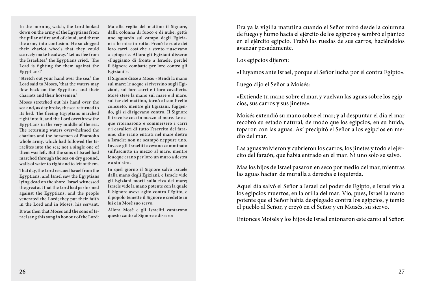**In the morning watch, the Lord looked down on the army of the Egyptians from the pillar of fire and of cloud, and threw the army into confusion. He so clogged their chariot wheels that they could scarcely make headway. 'Let us flee from the Israelites,' the Egyptians cried. 'The Lord is fighting for them against the Egyptians!'**

**'Stretch out your hand over the sea,' the Lord said to Moses, 'that the waters may flow back on the Egyptians and their chariots and their horsemen.'**

**Moses stretched out his hand over the sea and, as day broke, the sea returned to its bed. The fleeing Egyptians marched right into it, and the Lord overthrew the Egyptians in the very middle of the sea. The returning waters overwhelmed the chariots and the horsemen of Pharaoh's whole army, which had followed the Israelites into the sea; not a single one of them was left. But the sons of Israel had marched through the sea on dry ground, walls of water to right and to left of them. That day, the Lord rescued Israel from the Egyptians, and Israel saw the Egyptians lying dead on the shore. Israel witnessed the great act that the Lord had performed against the Egyptians, and the people venerated the Lord; they put their faith in the Lord and in Moses, his servant.**

**It was then that Moses and the sons of Israel sang this song in honour of the Lord:** **Ma alla veglia del mattino il Signore, dalla colonna di fuoco e di nube, gettò uno sguardo sul campo degli Egiziani e lo mise in rotta. Frenò le ruote dei loro carri, così che a stento riuscivano a spingerle. Allora gli Egiziani dissero: «Fuggiamo di fronte a Israele, perché il Signore combatte per loro contro gli Egiziani!».**

**Il Signore disse a Mosè: «Stendi la mano sul mare: le acque si riversino sugli Egiziani, sui loro carri e i loro cavalieri». Mosè stese la mano sul mare e il mare, sul far del mattino, tornò al suo livello consueto, mentre gli Egiziani, fuggendo, gli si dirigevano contro. Il Signore li travolse così in mezzo al mare. Le acque ritornarono e sommersero i carri e i cavalieri di tutto l'esercito del faraone, che erano entrati nel mare dietro a Israele: non ne scampò neppure uno. Invece gli Israeliti avevano camminato sull'asciutto in mezzo al mare, mentre le acque erano per loro un muro a destra e a sinistra.**

**In quel giorno il Signore salvò Israele dalla mano degli Egiziani, e Israele vide gli Egiziani morti sulla riva del mare; Israele vide la mano potente con la quale il Signore aveva agito contro l'Egitto, e il popolo temette il Signore e credette in lui e in Mosè suo servo.**

**Allora Mosè e gli Israeliti cantarono questo canto al Signore e dissero:**

Era ya la vigilia matutina cuando el Señor miró desde la columna de fuego y humo hacia el ejército de los egipcios y sembró el pánico en el ejército egipcio. Trabó las ruedas de sus carros, haciéndolos avanzar pesadamente.

Los egipcios dijeron:

«Huyamos ante Israel, porque el Señor lucha por él contra Egipto».

Luego dijo el Señor a Moisés:

«Extiende tu mano sobre el mar, y vuelvan las aguas sobre los egipcios, sus carros y sus jinetes».

Moisés extendió su mano sobre el mar; y al despuntar el día el mar recobró su estado natural, de modo que los egipcios, en su huida, toparon con las aguas. Así precipitó el Señor a los egipcios en medio del mar.

Las aguas volvieron y cubrieron los carros, los jinetes y todo el ejército del faraón, que había entrado en el mar. Ni uno solo se salvó.

Mas los hijos de Israel pasaron en seco por medio del mar, mientras las aguas hacían de muralla a derecha e izquierda.

Aquel día salvó el Señor a Israel del poder de Egipto, e Israel vio a los egipcios muertos, en la orilla del mar. Vio, pues, Israel la mano potente que el Señor había desplegado contra los egipcios, y temió el pueblo al Señor, y creyó en el Señor y en Moisés, su siervo.

Entonces Moisés y los hijos de Israel entonaron este canto al Señor: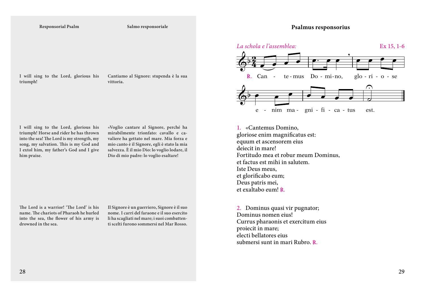#### **Responsorial Psalm Salmo responsoriale**

**Psalmus responsorius**

**I will sing to the Lord, glorious his triumph!**

**Cantiamo al Signore: stupenda è la sua vittoria.**

**I will sing to the Lord, glorious his triumph! Horse and rider he has thrown into the sea! The Lord is my strength, my song, my salvation. This is my God and I extol him, my father's God and I give him praise.**

**«Voglio cantare al Signore, perché ha mirabilmente trionfato: cavallo e cavaliere ha gettato nel mare. Mia forza e mio canto è il Signore, egli è stato la mia salvezza. È il mio Dio: lo voglio lodare, il Dio di mio padre: lo voglio esaltare!**

**The Lord is a warrior! 'The Lord' is his name. The chariots of Pharaoh he hurled into the sea, the flower of his army is drowned in the sea.** 

**Il Signore è un guerriero, Signore è il suo nome. I carri del faraone e il suo esercito li ha scagliati nel mare; i suoi combattenti scelti furono sommersi nel Mar Rosso.**



1. «Cantemus Domino, gloriose enim magnificatus est: equum et ascensorem eius deiecit in mare! Fortitudo mea et robur meum Dominus, et factus est mihi in salutem. Iste Deus meus, et glorificabo eum; Deus patris mei, et exaltabo eum!  $\hat{\mathbf{R}}$ .

2. Dominus quasi vir pugnator; Dominus nomen eius! Currus pharaonis et exercitum eius proiecit in mare; electi bellatores eius submersi sunt in mari Rubro.  $\hat{\mathbf{R}}$ .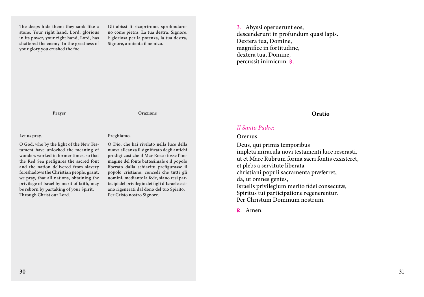**The deeps hide them; they sank like a stone. Your right hand, Lord, glorious in its power, your right hand, Lord, has shattered the enemy. In the greatness of your glory you crushed the foe.**

**Gli abissi li ricoprirono, sprofondarono come pietra. La tua destra, Signore, è gloriosa per la potenza, la tua destra, Signore, annienta il nemico.**

**Prayer Orazione**

#### **Let us pray. Preghiamo.**

**O God, who by the light of the New Testament have unlocked the meaning of wonders worked in former times, so that the Red Sea prefigures the sacred font and the nation delivered from slavery foreshadows the Christian people, grant, we pray, that all nations, obtaining the privilege of Israel by merit of faith, may be reborn by partaking of your Spirit. Through Christ our Lord.**

**O Dio, che hai rivelato nella luce della nuova alleanza il significato degli antichi prodigi così che il Mar Rosso fosse l'immagine del fonte battesimale e il popolo liberato dalla schiavitù prefigurasse il popolo cristiano, concedi che tutti gli uomini, mediante la fede, siano resi partecipi del privilegio dei figli d'Israele e siano rigenerati dal dono del tuo Spirito. Per Cristo nostro Signore.**

3. Abyssi operuerunt eos, descenderunt in profundum quasi lapis. Dextera tua, Domine, magnifice in fortitudine, dextera tua, Domine, percussit inimicum. R.

**Oratio**

### *Il Santo Padre:*

#### Oremus.

Deus, qui primis temporibus impleta miracula novi testamenti luce reserasti, ut et Mare Rubrum forma sacri fontis exsisteret, et plebs a servitute liberata christiani populi sacramenta præferret, da, ut omnes gentes, Israelis privilegium merito fidei consecutæ, Spiritus tui participatione regenerentur. Per Christum Dominum nostrum.

R. Amen.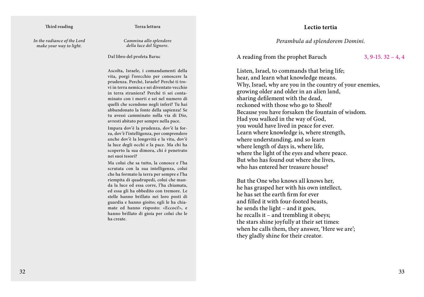*In the radiance of the Lord make your way to light.*

**Third reading Terza lettura**

*Cammina allo splendore della luce del Signore.*

**Dal libro del profeta Baruc**

**Ascolta, Israele, i comandamenti della vita, porgi l'orecchio per conoscere la prudenza. Perché, Israele? Perché ti trovi in terra nemica e sei diventato vecchio in terra straniera? Perché ti sei contaminato con i morti e sei nel numero di quelli che scendono negli inferi? Tu hai abbandonato la fonte della sapienza! Se tu avessi camminato nella via di Dio, avresti abitato per sempre nella pace.**

**Impara dov'è la prudenza, dov'è la forza, dov'è l'intelligenza, per comprendere anche dov'è la longevità e la vita, dov'è la luce degli occhi e la pace. Ma chi ha scoperto la sua dimora, chi è penetrato nei suoi tesori?**

**Ma colui che sa tutto, la conosce e l'ha scrutata con la sua intelligenza, colui che ha formato la terra per sempre e l'ha riempita di quadrupedi, colui che manda la luce ed essa corre, l'ha chiamata, ed essa gli ha obbedito con tremore. Le stelle hanno brillato nei loro posti di guardia e hanno gioito; egli le ha chiamate ed hanno risposto: «Eccoci!», e hanno brillato di gioia per colui che le ha create.**

## **Lectio tertia**

## *Perambula ad splendorem Domini.*

A reading from the prophet Baruch  $3, 9-15.32 - 4, 4$ 

Listen, Israel, to commands that bring life; hear, and learn what knowledge means. Why, Israel, why are you in the country of your enemies, growing older and older in an alien land, sharing defilement with the dead, reckoned with those who go to Sheol? Because you have forsaken the fountain of wisdom. Had you walked in the way of God, you would have lived in peace for ever. Learn where knowledge is, where strength, where understanding, and so learn where length of days is, where life, where the light of the eyes and where peace. But who has found out where she lives, who has entered her treasure house?

But the One who knows all knows her, he has grasped her with his own intellect, he has set the earth firm for ever and filled it with four-footed beasts, he sends the light – and it goes, he recalls it – and trembling it obeys; the stars shine joyfully at their set times: when he calls them, they answer, 'Here we are'; they gladly shine for their creator.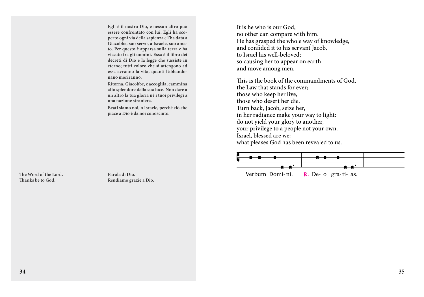**Egli è il nostro Dio, e nessun altro può essere confrontato con lui. Egli ha scoperto ogni via della sapienza e l'ha data a Giacobbe, suo servo, a Israele, suo amato. Per questo è apparsa sulla terra e ha vissuto fra gli uomini. Essa è il libro dei decreti di Dio e la legge che sussiste in eterno; tutti coloro che si attengono ad essa avranno la vita, quanti l'abbandonano moriranno.**

**Ritorna, Giacobbe, e accoglila, cammina allo splendore della sua luce. Non dare a un altro la tua gloria né i tuoi privilegi a una nazione straniera.**

**Beati siamo noi, o Israele, perché ciò che piace a Dio è da noi conosciuto.**

It is he who is our God, no other can compare with him. He has grasped the whole way of knowledge, and confided it to his servant Jacob, to Israel his well-beloved; so causing her to appear on earth and move among men.

This is the book of the commandments of God, the Law that stands for ever; those who keep her live, those who desert her die. Turn back, Jacob, seize her, in her radiance make your way to light: do not yield your glory to another, your privilege to a people not your own. Israel, blessed are we: what pleases God has been revealed to us.



Verbum Domi-ni. R. De- o gra-ti- as.

**The Word of the Lord. Thanks be to God.**

**Parola di Dio. Rendiamo grazie a Dio.**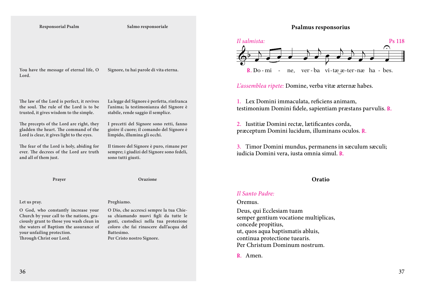**Responsorial Psalm Salmo responsoriale**

**You have the message of eternal life, O Lord.**

**Signore, tu hai parole di vita eterna.**

**The law of the Lord is perfect, it revives the soul. The rule of the Lord is to be trusted, it gives wisdom to the simple.** 

**The precepts of the Lord are right, they gladden the heart. The command of the Lord is clear, it gives light to the eyes.** 

**The fear of the Lord is holy, abiding for ever. The decrees of the Lord are truth and all of them just.** 

**La legge del Signore è perfetta, rinfranca l'anima; la testimonianza del Signore è stabile, rende saggio il semplice.**

**I precetti del Signore sono retti, fanno gioire il cuore; il comando del Signore è limpido, illumina gli occhi.**

**Il timore del Signore è puro, rimane per sempre; i giudizi del Signore sono fedeli, sono tutti giusti.** 

**Prayer Orazione**

#### **Let us pray. Preghiamo.**

**O God, who constantly increase your Church by your call to the nations, graciously grant to those you wash clean in the waters of Baptism the assurance of your unfailing protection. Through Christ our Lord.**

**O Dio, che accresci sempre la tua Chiesa chiamando nuovi figli da tutte le genti, custodisci nella tua protezione coloro che fai rinascere dall'acqua del Battesimo. Per Cristo nostro Signore.**





*L'assemblea ripete:* Domine, verba vitæ æternæ habes.

1. Lex Domini immaculata, reficiens animam, testimonium Domini fidele, sapientiam præstans parvulis.  $\hat{\mathbf{k}}$ .

2. Iustitiæ Domini rectæ, lætificantes corda, præceptum Domini lucidum, illuminans oculos. R.

3. Timor Domini mundus, permanens in sæculum sæculi; iudicia Domini vera, iusta omnia simul.  $\hat{\mathbf{R}}$ .

### **Oratio**

## *Il Santo Padre:*

### Oremus.

Deus, qui Ecclesiam tuam semper gentium vocatione multiplicas, concede propitius, ut, quos aqua baptismatis abluis, continua protectione tuearis. Per Christum Dominum nostrum.

 $R$  Amen.

### **Psalmus responsorius**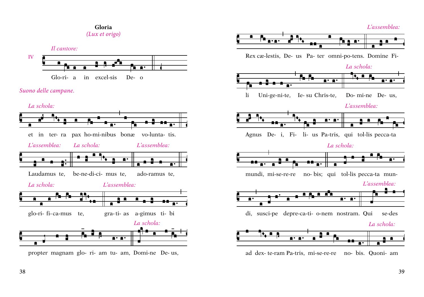## **Gloria** *(Lux et origo)*



propter magnam glo- ri- am tu- am, Domi-ne De- us,



ad dex- te-ram Pa-tris, mi-se-re-re no- bis. Quoni- am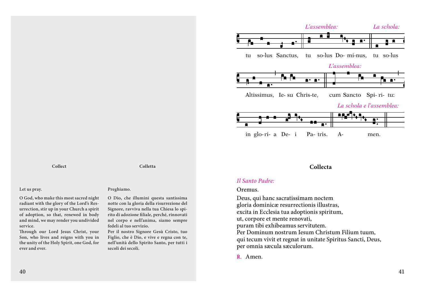

in glo- ri- a De- i Pa- tris. A- men.

**Collect Colletta**

**O God, who make this most sacred night radiant with the glory of the Lord's Resurrection, stir up in your Church a spirit of adoption, so that, renewed in body and mind, we may render you undivided service.**

**Through our Lord Jesus Christ, your Son, who lives and reigns with you in the unity of the Holy Spirit, one God, for ever and ever.**

#### **Let us pray. Preghiamo.**

**O Dio, che illumini questa santissima notte con la gloria della risurrezione del Signore, ravviva nella tua Chiesa lo spirito di adozione filiale, perché, rinnovati nel corpo e nell'anima, siamo sempre fedeli al tuo servizio.**

**Per il nostro Signore Gesù Cristo, tuo Figlio, che è Dio, e vive e regna con te, nell'unità dello Spirito Santo, per tutti i secoli dei secoli.**

## **Collecta**

## *Il Santo Padre:*

## Oremus.

Deus, qui hanc sacratissimam noctem gloria dominicæ resurrectionis illustras, excita in Ecclesia tua adoptionis spiritum, ut, corpore et mente renovati, puram tibi exhibeamus servitutem. Per Dominum nostrum Iesum Christum Filium tuum, qui tecum vivit et regnat in unitate Spiritus Sancti, Deus, per omnia sæcula sæculorum.

 $R$ . Amen.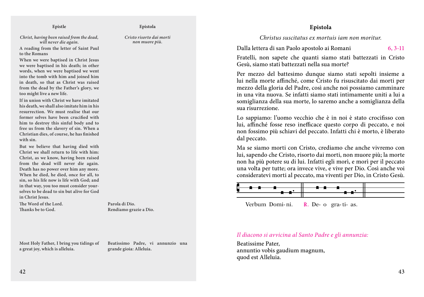*Christ, having been raised from the dead, will never die again.*

**A reading from the letter of Saint Paul to the Romans**

**When we were baptised in Christ Jesus we were baptised in his death; in other words, when we were baptised we went into the tomb with him and joined him in death, so that as Christ was raised from the dead by the Father's glory, we too might live a new life.**

**If in union with Christ we have imitated his death, we shall also imitate him in his resurrection. We must realise that our former selves have been crucified with him to destroy this sinful body and to free us from the slavery of sin. When a Christian dies, of course, he has finished with sin.**

**But we believe that having died with Christ we shall return to life with him: Christ, as we know, having been raised from the dead will never die again. Death has no power over him any more. When he died, he died, once for all, to sin, so his life now is life with God; and in that way, you too must consider yourselves to be dead to sin but alive for God in Christ Jesus.**

**The Word of the Lord. Thanks be to God.**

**Parola di Dio. Rendiamo grazie a Dio.**

**Most Holy Father, I bring you tidings of a great joy, which is alleluia.**

**Beatissimo Padre, vi annunzio una grande gioia: Alleluia.**

### **Epistle Epistola**

*Cristo risorto dai morti non muore più.*

## **Epistola**

*Christus suscitatus ex mortuis iam non moritur.*

Dalla lettera di san Paolo apostolo ai Romani 6, 3-11

Fratelli, non sapete che quanti siamo stati battezzati in Cristo Gesù, siamo stati battezzati nella sua morte?

Per mezzo del battesimo dunque siamo stati sepolti insieme a lui nella morte affinché, come Cristo fu risuscitato dai morti per mezzo della gloria del Padre, così anche noi possiamo camminare in una vita nuova. Se infatti siamo stati intimamente uniti a lui a somiglianza della sua morte, lo saremo anche a somiglianza della sua risurrezione.

Lo sappiamo: l'uomo vecchio che è in noi è stato crocifisso con lui, affinché fosse reso inefficace questo corpo di peccato, e noi non fossimo più schiavi del peccato. Infatti chi è morto, è liberato dal peccato.

Ma se siamo morti con Cristo, crediamo che anche vivremo con lui, sapendo che Cristo, risorto dai morti, non muore più; la morte non ha più potere su di lui. Infatti egli morì, e morì per il peccato una volta per tutte; ora invece vive, e vive per Dio. Così anche voi consideratevi morti al peccato, ma viventi per Dio, in Cristo Gesù.



Verbum Domi-ni. R. De- o gra-ti- as.

*Il diacono si avvicina al Santo Padre e gli annunzia:*

Beatissime Pater, annuntio vobis gaudium magnum, quod est Alleluia.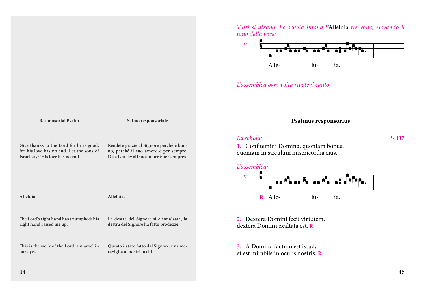*L'assemblea ogni volta ripete il canto.* **Responsorial Psalm Salmo responsoriale Psalmus responsorius** *La schola:* Ps 117 **Give thanks to the Lord for he is good, Rendete grazie al Signore perché è buo-**1. Confitemini Domino, quoniam bonus, **for his love has no end. Let the sons of no, perché il suo amore è per sempre.**  quoniam in sæculum misericordia eius. **Israel say: 'His love has no end.' Dica Israele: «Il suo amore è per sempre».** *L'assemblea:* VIII  $\overline{\mathbf{a}}$ fan An  $\overline{\mathbf{11}}$ T **Alleluia! Alleluia. R.** Alle- lu- ia. 2. Dextera Domini fecit virtutem, **The Lord's right hand has triumphed; his La destra del Signore si è innalzata, la right hand raised me up. destra del Signore ha fatto prodezze.** dextera Domini exaltata est.  $\dot{\mathbf{k}}$ 

**Questo è stato fatto dal Signore: una me-**

**raviglia ai nostri occhi.**

3. A Domino factum est istud, et est mirabile in oculis nostris.  $\hat{\mathbf{R}}$ .

*Tutti si alzano. La schola intona l'*Alleluia *tre volte, elevando il* 

Alle- lu- ia.

 $\frac{1}{2}$ 

*tono della voce:*

 $\overline{\bullet}$ 

VIII

**our eyes.**

**This is the work of the Lord, a marvel in**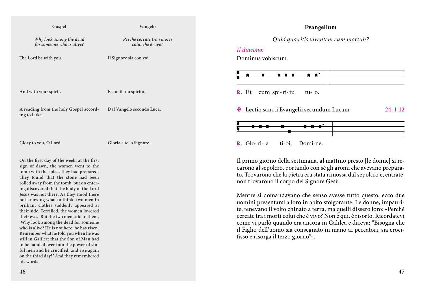| Gospel                                                                                                                                                                                                                                                                                                                                                                                                                                                                             | Vangelo                                         |                                                                                                                                                                                                                         |
|------------------------------------------------------------------------------------------------------------------------------------------------------------------------------------------------------------------------------------------------------------------------------------------------------------------------------------------------------------------------------------------------------------------------------------------------------------------------------------|-------------------------------------------------|-------------------------------------------------------------------------------------------------------------------------------------------------------------------------------------------------------------------------|
| Why look among the dead<br>for someone who is alive?                                                                                                                                                                                                                                                                                                                                                                                                                               | Perché cercate tra i morti<br>colui che è vivo? | Quid que<br>Il diacono:                                                                                                                                                                                                 |
| The Lord be with you.                                                                                                                                                                                                                                                                                                                                                                                                                                                              | Il Signore sia con voi.                         | Dominus vobiscum.                                                                                                                                                                                                       |
| And with your spirit.                                                                                                                                                                                                                                                                                                                                                                                                                                                              | E con il tuo spirito.                           | R. Et<br>cum spi-ri-tu                                                                                                                                                                                                  |
| A reading from the holy Gospel accord-<br>ing to Luke.                                                                                                                                                                                                                                                                                                                                                                                                                             | Dal Vangelo secondo Luca.                       | H Lectio sancti Evange                                                                                                                                                                                                  |
| Glory to you, O Lord.                                                                                                                                                                                                                                                                                                                                                                                                                                                              | Gloria a te, o Signore.                         | R. Glo-ri-a<br>ti-bi,                                                                                                                                                                                                   |
| On the first day of the week, at the first<br>sign of dawn, the women went to the<br>tomb with the spices they had prepared.<br>They found that the stone had been<br>rolled away from the tomb, but on enter-<br>ing discovered that the body of the Lord<br>Jesus was not there. As they stood there<br>not knowing what to think, two men in<br>brilliant clothes suddenly appeared at<br>their side. Terrified, the women lowered<br>their eyes. But the two men said to them, |                                                 | Il primo giorno della se<br>carono al sepolcro, port<br>to. Trovarono che la pie<br>non trovarono il corpo<br>Mentre si domandavar<br>uomini presentarsi a lo<br>te, tenevano il volto chi<br>cercate tra i morti colui |
| 'Why look among the dead for someone<br>who is alive? He is not here; he has risen.<br>Remember what he told you when he was<br>still in Galilee: that the Son of Man had<br>to be handed over into the power of sin-<br>ful men and be crucified, and rise again<br>on the third day?' And they remembered                                                                                                                                                                        |                                                 | come vi parlò quando e<br>il Figlio dell'uomo sia<br>fisso e risorga il terzo g                                                                                                                                         |

## **Evangelium**

*Quid quæritis viventem cum mortuis?*

tu- o.

elii secundum Lucam 24, 1-12



Domi-ne.

ettimana, al mattino presto [le donne] si retando con sé gli aromi che avevano preparaetra era stata rimossa dal sepolcro e, entrate, del Signore Gesù.

no che senso avesse tutto questo, ecco due ro in abito sfolgorante. Le donne, impauriinato a terra, ma quelli dissero loro: «Perché che è vivo? Non è qui, è risorto. Ricordatevi era ancora in Galilea e diceva: "Bisogna che consegnato in mano ai peccatori, sia croci- $\sum_{n=1}^{\infty}$ 

**his words.**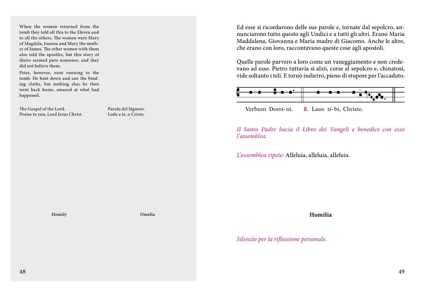**When the women returned from the tomb they told all this to the Eleven and to all the others. The women were Mary of Magdala, Joanna and Mary the mother of James. The other women with them also told the apostles, but this story of theirs seemed pure nonsense, and they did not believe them.**

**Peter, however, went running to the tomb. He bent down and saw the binding cloths, but nothing else; he then went back home, amazed at what had happened.**

**The Gospel of the Lord. Praise to you, Lord Jesus Christ.**

**Parola del Signore. Lode a te, o Cristo.** Ed esse si ricordarono delle sue parole e, tornate dal sepolcro, annunciarono tutto questo agli Undici e a tutti gli altri. Erano Maria Maddalena, Giovanna e Maria madre di Giacomo. Anche le altre, che erano con loro, raccontavano queste cose agli apostoli.

Quelle parole parvero a loro come un vaneggiamento e non credevano ad esse. Pietro tuttavia si alzò, corse al sepolcro e, chinatosi, vide soltanto i teli. E tornò indietro, pieno di stupore per l'accaduto.



Verbum Domi-ni. R. Laus ti-bi, Christe.

*Il Santo Padre bacia il Libro dei Vangeli e benedice con esso l'assemblea.*

*L'assemblea ripete:* Alleluia, alleluia, alleluia.

**Homilia**

*Silenzio per la riflessione personale.*

**Homily Omelia**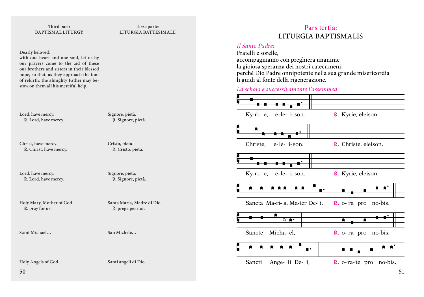#### **Third part: BAPTISMAL LITURGY**

### **Terza parte: LITURGIA BATTESIMALE**

### **Dearly beloved,**

**with one heart and one soul, let us by our prayers come to the aid of these our brothers and sisters in their blessed hope, so that, as they approach the font of rebirth, the almighty Father may bestow on them all his merciful help.**

**Lord, have mercy.** C. **Lord, have mercy.** **Signore, pietà.** C. **Signore, pietà.**

**Christ, have mercy.** C. **Christ, have mercy.**

**Lord, have mercy.**  $R.$  Lord, have mercy.

**Signore, pietà.** C. **Signore, pietà.**

**Cristo, pietà.** C. **Cristo, pietà.**

**Holy Mary, Mother of God** R. pray for us.

**Santa Maria, Madre di Dio** C. **prega per noi.**

**Saint Michael… San Michele…**

**Holy Angels of God… Santi angeli di Dio…**

## Pars tertia: Liturgia baptismalis

## *Il Santo Padre:*

Fratelli e sorelle, accompagniamo con preghiera unanime la gioiosa speranza dei nostri catecumeni, perché Dio Padre onnipotente nella sua grande misericordia li guidi al fonte della rigenerazione.

## *La schola e successivamente l'assemblea:*

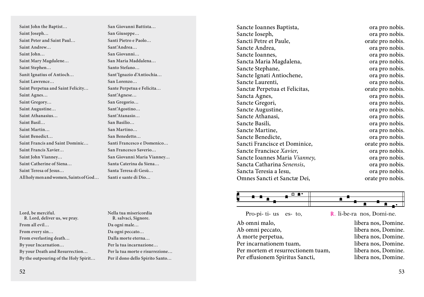| Saint John                                          | San Giovanni                                   |
|-----------------------------------------------------|------------------------------------------------|
| Saint Mary Magdalene                                | San Maria Maddalena                            |
| Saint Stephen                                       | Santo Stefano                                  |
| Sanit Ignatius of Antioch                           | Sant'Ignazio d'Antiochia                       |
| Saint Lawrence                                      | San Lorenzo                                    |
| Saint Perpetua and Saint Felicity                   | Sante Perpetua e Felicita                      |
| Saint Agnes                                         | Sant'Agnese                                    |
| Saint Gregory                                       | San Gregorio                                   |
| Saint Augustine                                     | Sant'Agostino                                  |
| Saint Athanasius                                    | Sant'Atanasio                                  |
| Saint Basil                                         | San Basilio                                    |
| Saint Martin                                        | San Martino                                    |
| Saint Benedict                                      | San Benedetto                                  |
| Saint Francis and Saint Dominic                     | Santi Francesco e Domenico                     |
| Saint Francis Xavier                                | San Francesco Saverio                          |
| Saint John Vianney                                  | San Giovanni Maria Vianney                     |
| Saint Catherine of Siena                            | Santa Caterina da Siena                        |
| Saint Teresa of Jesus                               | Santa Teresa di Gesù                           |
| All holy men and women, Saints of God               | Santi e sante di Dio                           |
|                                                     |                                                |
|                                                     |                                                |
| Lord, be merciful.<br>R. Lord, deliver us, we pray. | Nella tua misericordia<br>R. salvaci, Signore. |

**From all evil…** From every sin... From everlasting death... **By your Incarnation… By your Death and Resurrection… Per la tua morte e risurrezione… By the outpouring of the Holy Spirit… Per il dono dello Spirito Santo…**

**Saint John the Baptist… San Giovanni Battista… Saint Joseph… San Giuseppe… Saint Peter and Saint Paul… Santi Pietro e Paolo… Saint Andrew… Sant'Andrea…**

> $San Giovanni...$ **Saint Mary Magdalene… San Maria Maddalena…**  $S$ anto Stefano...

| Nella tua misericordia<br>R. salvaci, Signore. |
|------------------------------------------------|
| Da ogni male                                   |
| Da ogni peccato                                |
| Dalla morte eterna                             |
| Per la tua incarnazione                        |
| Per la tua morte e risurrezion                 |
|                                                |

| ora pro nobis.   |
|------------------|
| ora pro nobis.   |
| orate pro nobis. |
| ora pro nobis.   |
| ora pro nobis.   |
| ora pro nobis.   |
| ora pro nobis.   |
| ora pro nobis.   |
| ora pro nobis.   |
| orate pro nobis. |
| ora pro nobis.   |
| ora pro nobis.   |
| ora pro nobis.   |
| ora pro nobis.   |
| ora pro nobis.   |
| ora pro nobis.   |
| ora pro nobis.   |
| orate pro nobis. |
| ora pro nobis.   |
| ora pro nobis.   |
| ora pro nobis.   |
| ora pro nobis.   |
| orate pro nobis. |
|                  |



Ab omni malo, Ab omni peccato, A morte perpetua, Per incarnationem tuam, Per mortem et resurrectionem tuam, Per effusionem Spiritus Sancti,

Pro-pi- ti- us es- to, <br>R. li-be-ra nos, Domi-ne.

libera nos, Domine. libera nos, Domine. libera nos, Domine. libera nos, Domine. libera nos, Domine. libera nos, Domine.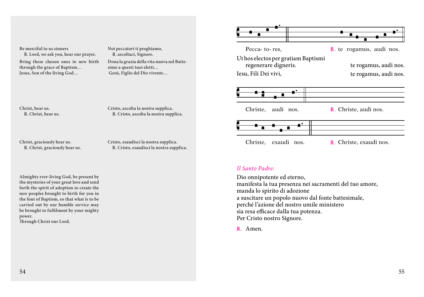**Be merciful to us sinners**

C. **Lord, we ask you, hear our prayer.**

**Bring these chosen ones to new birth through the grace of Baptism…** Jesus, Son of the living God... **Gesù, Figlio del Dio vivente...** 

**Noi peccatori ti preghiamo,** C. **ascoltaci, Signore.**

**Dona la grazia della vita nuova nel Battesimo a questi tuoi eletti…**

**Christ, hear us.** C. **Christ, hear us.** **Cristo, ascolta la nostra supplica.** C. **Cristo, ascolta la nostra supplica.**

**Christ, graciously hear us.** C. **Christ, graciously hear us.** **Cristo, esaudisci la nostra supplica.** C. **Cristo, esaudisci la nostra supplica.**

**Almighty ever-living God, be present by the mysteries of your great love and send forth the spirit of adoption to create the new peoples brought to birth for you in the font of Baptism, so that what is to be carried out by our humble service may be brought to fulfilment by your mighty power.**

**Through Christ our Lord.**



## *Il Santo Padre:*

Dio onnipotente ed eterno, manifesta la tua presenza nei sacramenti del tuo amore, manda lo spirito di adozione a suscitare un popolo nuovo dal fonte battesimale, perché l'azione del nostro umile ministero sia resa efficace dalla tua potenza. Per Cristo nostro Signore.

 $R$  Amen.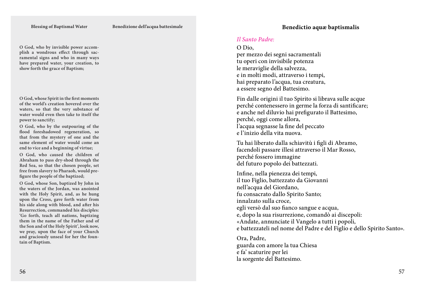**O God, who by invisible power accomplish a wondrous effect through sacramental signs and who in many ways have prepared water, your creation, to show forth the grace of Baptism;**

**O God, whose Spirit in the first moments of the world's creation hovered over the waters, so that the very substance of water would even then take to itself the power to sanctify;**

**O God, who by the outpouring of the flood foreshadowed regeneration, so that from the mystery of one and the same element of water would come an end to vice and a beginning of virtue;**

**O God, who caused the children of Abraham to pass dry-shod through the Red Sea, so that the chosen people, set free from slavery to Pharaoh, would prefigure the people of the baptized;**

**O God, whose Son, baptized by John in the waters of the Jordan, was anointed with the Holy Spirit, and, as he hung upon the Cross, gave forth water from his side along with blood, and after his Resurrection, commanded his disciples: 'Go forth, teach all nations, baptizing them in the name of the Father and of the Son and of the Holy Spirit', look now, we pray, upon the face of your Church and graciously unseal for her the fountain of Baptism.**

## **Benedictio aquæ baptismalis**

## *Il Santo Padre:*

### O Dio,

per mezzo dei segni sacramentali tu operi con invisibile potenza le meraviglie della salvezza, e in molti modi, attraverso i tempi, hai preparato l'acqua, tua creatura, a essere segno del Battesimo.

Fin dalle origini il tuo Spirito si librava sulle acque perché contenessero in germe la forza di santificare; e anche nel diluvio hai prefigurato il Battesimo, perché, oggi come allora, l'acqua segnasse la fine del peccato e l'inizio della vita nuova.

Tu hai liberato dalla schiavitù i figli di Abramo, facendoli passare illesi attraverso il Mar Rosso, perché fossero immagine del futuro popolo dei battezzati.

Infine, nella pienezza dei tempi, il tuo Figlio, battezzato da Giovanni nell'acqua del Giordano, fu consacrato dallo Spirito Santo; innalzato sulla croce, egli versò dal suo fianco sangue e acqua, e, dopo la sua risurrezione, comandò ai discepoli: «Andate, annunciate il Vangelo a tutti i popoli, e battezzateli nel nome del Padre e del Figlio e dello Spirito Santo».

Ora, Padre, guarda con amore la tua Chiesa e fa' scaturire per lei la sorgente del Battesimo.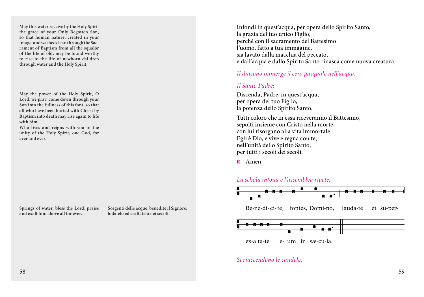**May this water receive by the Holy Spirit the grace of your Only Begotten Son, so that human nature, created in your image, and washed clean through the Sacrament of Baptism from all the squalor of the life of old, may be found worthy to rise to the life of newborn children through water and the Holy Spirit.**

**May the power of the Holy Spirit, O Lord, we pray, come down through your Son into the fullness of this font, so that all who have been buried with Christ by Baptism into death may rise again to life with him.**

**Who lives and reigns with you in the unity of the Holy Spirit, one God, for ever and ever.**

**Springs of water, bless the Lord; praise and exalt him above all for ever.**

**Sorgenti delle acque, benedite il Signore: lodatelo ed esaltatelo nei secoli.**

Infondi in quest'acqua, per opera dello Spirito Santo, la grazia del tuo unico Figlio, perché con il sacramento del Battesimo l'uomo, fatto a tua immagine, sia lavato dalla macchia del peccato, e dall'acqua e dallo Spirito Santo rinasca come nuova creatura.

## *Il diacono immerge il cero pasquale nell'acqua.*

## *Il Santo Padre:*

Discenda, Padre, in quest'acqua, per opera del tuo Figlio, la potenza dello Spirito Santo.

Tutti coloro che in essa riceveranno il Battesimo, sepolti insieme con Cristo nella morte, con lui risorgano alla vita immortale. Egli è Dio, e vive e regna con te, nell'unità dello Spirito Santo, per tutti i secoli dei secoli.

 $R$ . Amen.

## *La schola intona e l'assemblea ripete:*



Be-ne-di-ci-te, fontes, Domi-no, lauda-te et su-per-





## *Si riaccendono le candele.*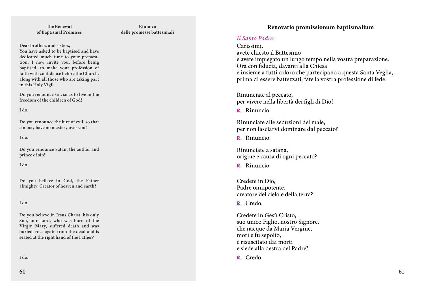### **The Renewal of Baptismal Promises**

**Rinnovo delle promesse battesimali**

#### **Dear brothers and sisters,**

**You have asked to be baptised and have dedicated much time to your preparation. I now invite you, before being baptised, to make your profession of faith with confidence before the Church, along with all those who are taking part in this Holy Vigil.** 

**Do you renounce sin, so as to live in the freedom of the children of God?**

**I do.**

**Do you renounce the lure of evil, so that sin may have no mastery over you?**

**I do.**

**Do you renounce Satan, the author and prince of sin?**

**I do.**

**Do you believe in God, the Father almighty, Creator of heaven and earth?**

### **I do.**

**Do you believe in Jesus Christ, his only Son, our Lord, who was born of the Virgin Mary, suffered death and was buried, rose again from the dead and is seated at the right hand of the Father?**

**I do.**

**Renovatio promissionum baptismalium**

## *Il Santo Padre:*

Carissimi, avete chiesto il Battesimo e avete impiegato un lungo tempo nella vostra preparazione. Ora con fiducia, davanti alla Chiesa e insieme a tutti coloro che partecipano a questa Santa Veglia, prima di essere battezzati, fate la vostra professione di fede.

Rinunciate al peccato, per vivere nella libertà dei figli di Dio?

 $R$ . Rinuncio.

Rinunciate alle seduzioni del male, per non lasciarvi dominare dal peccato?

R. Rinuncio.

Rinunciate a satana, origine e causa di ogni peccato?

 $R$ . Rinuncio.

Credete in Dio, Padre onnipotente, creatore del cielo e della terra?

R. Credo.

Credete in Gesù Cristo, suo unico Figlio, nostro Signore, che nacque da Maria Vergine, morì e fu sepolto, è risuscitato dai morti e siede alla destra del Padre?

R. Credo.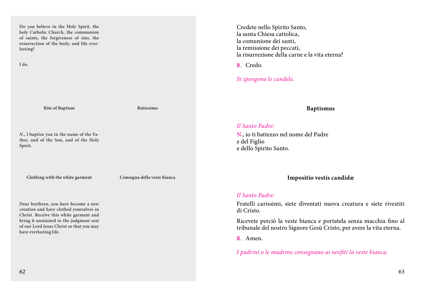**Do you believe in the Holy Spirit, the holy Catholic Church, the communion of saints, the forgiveness of sins, the resurrection of the body, and life everlasting?**

**I do.**

**Rite of Baptism Battesimo**

*N.***, I baptize you in the name of the Father, and of the Son, and of the Holy Spirit.**

**Clothing with the white garment Consegna della veste bianca**

**Dear brethren, you have become a new creation and have clothed yourselves in Christ. Receive this white garment and bring it unstained to the judgment seat of our Lord Jesus Christ so that you may have everlasting life.**

Credete nello Spirito Santo, la santa Chiesa cattolica, la comunione dei santi, la remissione dei peccati, la risurrezione della carne e la vita eterna?

R. Credo.

*Si spengono le candele.*

## **Baptismus**

## *Il Santo Padre:*

N., io ti battezzo nel nome del Padre e del Figlio e dello Spirito Santo.

**Impositio vestis candidæ**

### *Il Santo Padre:*

Fratelli carissimi, siete diventati nuova creatura e siete rivestiti di Cristo.

Ricevete perciò la veste bianca e portatela senza macchia fino al tribunale del nostro Signore Gesù Cristo, per avere la vita eterna.

R. Amen.

*I padrini o le madrine consegnano ai neofiti la veste bianca.*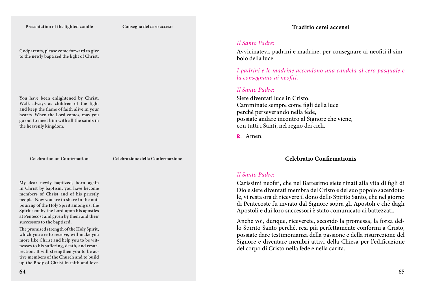**Godparents, please come forward to give to the newly baptized the light of Christ.**

**You have been enlightened by Christ. Walk always as children of the light and keep the flame of faith alive in your hearts. When the Lord comes, may you go out to meet him with all the saints in the heavenly kingdom.**

**Celebration on Confirmation Celebrazione della Confermazione**

**My dear newly baptized, born again in Christ by baptism, you have become members of Christ and of his priestly people. Now you are to share in the outpouring of the Holy Spirit among us, the Spirit sent by the Lord upon his apostles at Pentecost and given by them and their successors to the baptized.**

**The promised strength of the Holy Spirit, which you are to receive, will make you more like Christ and help you to be witnesses to his suffering, death, and resurrection. It will strengthen you to be active members of the Church and to build up the Body of Christ in faith and love.**

## **Traditio cerei accensi**

## *Il Santo Padre:*

Avvicinatevi, padrini e madrine, per consegnare ai neofiti il simbolo della luce.

*I padrini e le madrine accendono una candela al cero pasquale e la consegnano ai neofiti.*

## *Il Santo Padre:*

Siete diventati luce in Cristo. Camminate sempre come figli della luce perché perseverando nella fede, possiate andare incontro al Signore che viene, con tutti i Santi, nel regno dei cieli.

 $R$  Amen.

## **Celebratio Confirmationis**

## *Il Santo Padre:*

Carissimi neofiti, che nel Battesimo siete rinati alla vita di figli di Dio e siete diventati membra del Cristo e del suo popolo sacerdotale, vi resta ora di ricevere il dono dello Spirito Santo, che nel giorno di Pentecoste fu inviato dal Signore sopra gli Apostoli e che dagli Apostoli e dai loro successori è stato comunicato ai battezzati.

Anche voi, dunque, riceverete, secondo la promessa, la forza dello Spirito Santo perché, resi più perfettamente conformi a Cristo, possiate dare testimonianza della passione e della risurrezione del Signore e diventare membri attivi della Chiesa per l'edificazione del corpo di Cristo nella fede e nella carità.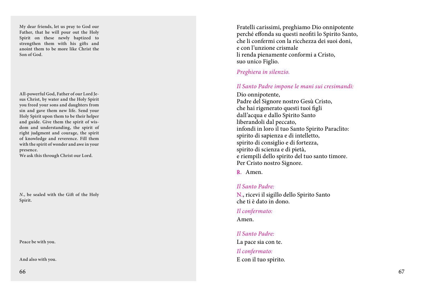**My dear friends, let us pray to God our Father, that he will pour out the Holy Spirit on these newly baptized to strengthen them with his gifts and anoint them to be more like Christ the Son of God.**

**All-powerful God, Father of our Lord Je sus Christ, by water and the Holy Spirit you freed your sons and daughters from sin and gave them new life. Send your Holy Spirit upon them to be their helper and guide. Give them the spirit of wis dom and understanding, the spirit of right judgment and courage, the spirit of knowledge and reverence. Fill them with the spirit of wonder and awe in your presence.**

**We ask this through Christ our Lord.**

*N.***, be sealed with the Gift of the Holy Spirit.**

**Peace be with you.**

**And also with you.**

Fratelli carissimi, preghiamo Dio onnipotente perché effonda su questi neofiti lo Spirito Santo, che li confermi con la ricchezza dei suoi doni, e con l'unzione crismale li renda pienamente conformi a Cristo, suo unico Figlio.

*Preghiera in silenzio.*

## *Il Santo Padre impone le mani sui cresimandi:*

Dio onnipotente, Padre del Signore nostro Gesù Cristo, che hai rigenerato questi tuoi figli dall'acqua e dallo Spirito Santo liberandoli dal peccato, infondi in loro il tuo Santo Spirito Paraclito: spirito di sapienza e di intelletto, spirito di consiglio e di fortezza, spirito di scienza e di pietà, e riempili dello spirito del tuo santo timore. Per Cristo nostro Signore.

R. Amen.

## *Il Santo Padre:*

N., ricevi il sigillo dello Spirito Santo che ti è dato in dono.

*Il confermato:*

Amen.

## *Il Santo Padre:*

La pace sia con te.

*Il confermato:* E con il tuo spirito.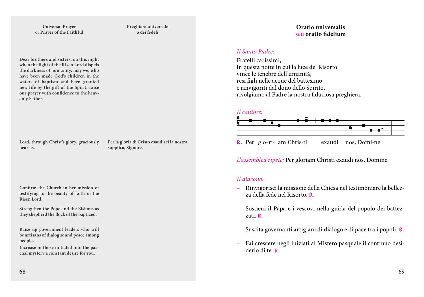**hear us.**

**Confirm the Church in her mission of testifying to the beauty of faith in the Risen Lord.**

**Lord, through Christ's glory, graciously** 

**Strengthen the Pope and the Bishops as they shepherd the flock of the baptized.**

**Raise up government leaders who will be artisans of dialogue and peace among peoples.**

**Increase in those initiated into the paschal mystery a constant desire for you.**

**o dei fedeli**

**Dear brothers and sisters, on this night when the light of the Risen Lord dispels the darkness of humanity, may we, who have been made God's children in the waters of baptism and been granted new life by the gift of the Spirit, raise our prayer with confidence to the heavenly Father.** 

**Universal Prayer** or **Prayer of the Faithful** **Preghiera universale**

**Per la gloria di Cristo esaudisci la nostra** 

**supplica, Signore.**

**Oratio universalis** seu **oratio fidelium**

## *Il Santo Padre:*

Fratelli carissimi, in questa notte in cui la luce del Risorto vince le tenebre dell'umanità, resi figli nelle acque del battesimo e rinvigoriti dal dono dello Spirito, rivolgiamo al Padre la nostra fiduciosa preghiera.



R. Per glo-ri- am Chris-ti exaudi nos, Domi-ne.

*L'assemblea ripete:* Per gloriam Christi exaudi nos, Domine.

## *Il diacono:*

- Rinvigorisci la missione della Chiesa nel testimoniare la bellezza della fede nel Risorto.  $\hat{\mathbf{R}}$ .
- Sostieni il Papa e i vescovi nella guida del popolo dei battezzati. R.
- Suscita governanti artigiani di dialogo e di pace tra i popoli.  $\hat{\mathbb{R}}$ .
- Fai crescere negli iniziati al Mistero pasquale il continuo desiderio di te $\dot{\mathbf{R}}$ .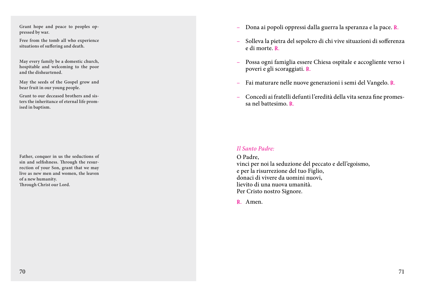**Grant hope and peace to peoples oppressed by war.**

**Free from the tomb all who experience situations of suffering and death.**

**May every family be a domestic church, hospitable and welcoming to the poor and the disheartened.**

**May the seeds of the Gospel grow and bear fruit in our young people.**

**Grant to our deceased brothers and sisters the inheritance of eternal life promised in baptism.**

**Father, conquer in us the seductions of sin and selfishness. Through the resurrection of your Son, grant that we may live as new men and women, the leaven of a new humanity. Through Christ our Lord.**

- Dona ai popoli oppressi dalla guerra la speranza e la pace.  $\hat{\mathbb{R}}$ .
- Solleva la pietra del sepolcro di chi vive situazioni di sofferenza e di morte.  $\mathbb{R}$
- Possa ogni famiglia essere Chiesa ospitale e accogliente verso i poveri e gli scoraggiati. R.
- Fai maturare nelle nuove generazioni i semi del Vangelo.  $\hat{\mathbb{R}}$ .
- Concedi ai fratelli defunti l'eredità della vita senza fine promessa nel battesimo.  $\hat{\mathbf{R}}$ .

## *Il Santo Padre:*

O Padre,

vinci per noi la seduzione del peccato e dell'egoismo, e per la risurrezione del tuo Figlio, donaci di vivere da uomini nuovi, lievito di una nuova umanità. Per Cristo nostro Signore.

R. Amen.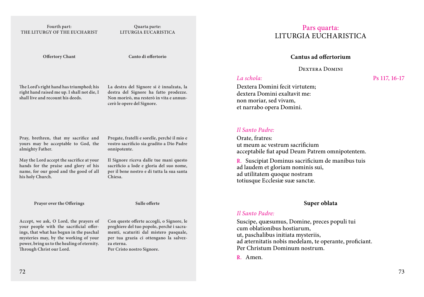### **Fourth part: THE LITURGY OF THE EUCHARIST**

**Quarta parte: LITURGIA EUCARISTICA**

**Offertory Chant Canto di offertorio**

**The Lord's right hand has triumphed; his right hand raised me up. I shall not die, I shall live and recount his deeds.**

**La destra del Signore si è innalzata, la destra del Signore ha fatto prodezze. Non morirò, ma resterò in vita e annuncerò le opere del Signore.**

**Pray, brethren, that my sacrifice and yours may be acceptable to God, the almighty Father.**

**May the Lord accept the sacrifice at your hands for the praise and glory of his name, for our good and the good of all his holy Church.**

**Pregate, fratelli e sorelle, perché il mio e vostro sacrificio sia gradito a Dio Padre onnipotente.**

**Il Signore riceva dalle tue mani questo sacrificio a lode e gloria del suo nome, per il bene nostro e di tutta la sua santa Chiesa.**

#### **Prayer over the Offerings Sulle offerte**

**Accept, we ask, O Lord, the prayers of your people with the sacrificial offerings, that what has begun in the paschal mysteries may, by the working of your power, bring us to the healing of eternity. Through Christ our Lord.**

**Con queste offerte accogli, o Signore, le preghiere del tuo popolo, perché i sacramenti, scaturiti dal mistero pasquale, per tua grazia ci ottengano la salvezza eterna.**

**Per Cristo nostro Signore.**

## Pars quarta: LITURGIA EUCHARISTICA

## **Cantus ad offertorium**

Dextera Domini

Dextera Domini fecit virtutem; dextera Domini exaltavit me: non moriar, sed vivam, et narrabo opera Domini.

## *Il Santo Padre:*

Orate, fratres: ut meum ac vestrum sacrificium acceptabile fiat apud Deum Patrem omnipotentem.

 $\mathbb{R}$ . Suscipiat Dominus sacrificium de manibus tuis ad laudem et gloriam nominis sui, ad utilitatem quoque nostram totiusque Ecclesiæ suæ sanctæ.

## **Super oblata**

## *Il Santo Padre:*

Suscipe, quæsumus, Domine, preces populi tui cum oblationibus hostiarum, ut, paschalibus initiata mysteriis, ad æternitatis nobis medelam, te operante, proficiant. Per Christum Dominum nostrum.

 $R$  Amen.

## *La schola:* Ps 117, 16-17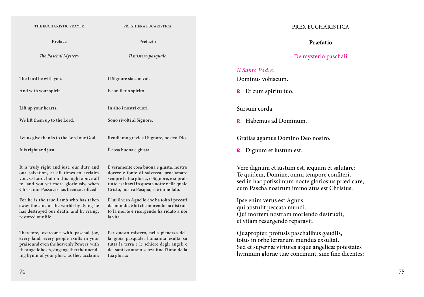| THE EUCHARISTIC PRAYER                                                                                                                                                                                                   | PREGHIERA EUCARISTICA                                                                                                                                                                                                   |  |
|--------------------------------------------------------------------------------------------------------------------------------------------------------------------------------------------------------------------------|-------------------------------------------------------------------------------------------------------------------------------------------------------------------------------------------------------------------------|--|
| Preface                                                                                                                                                                                                                  | Prefazio                                                                                                                                                                                                                |  |
| The Paschal Mystery                                                                                                                                                                                                      | Il mistero pasquale                                                                                                                                                                                                     |  |
|                                                                                                                                                                                                                          |                                                                                                                                                                                                                         |  |
| The Lord be with you.                                                                                                                                                                                                    | Il Signore sia con voi.                                                                                                                                                                                                 |  |
| And with your spirit.                                                                                                                                                                                                    | E con il tuo spirito.                                                                                                                                                                                                   |  |
| Lift up your hearts.                                                                                                                                                                                                     | In alto i nostri cuori.                                                                                                                                                                                                 |  |
| We lift them up to the Lord.                                                                                                                                                                                             | Sono rivolti al Signore.                                                                                                                                                                                                |  |
|                                                                                                                                                                                                                          |                                                                                                                                                                                                                         |  |
| Let us give thanks to the Lord our God.                                                                                                                                                                                  | Rendiamo grazie al Signore, nostro Dio.                                                                                                                                                                                 |  |
| It is right and just.                                                                                                                                                                                                    | È cosa buona e giusta.                                                                                                                                                                                                  |  |
| It is truly right and just, our duty and<br>our salvation, at all times to acclaim<br>you, O Lord, but on this night above all<br>to laud you yet more gloriously, when<br>Christ our Passover has been sacrificed.      | È veramente cosa buona e giusta, nostro<br>dovere e fonte di salvezza, proclamare<br>sempre la tua gloria, o Signore, e soprat-<br>tutto esaltarti in questa notte nella quale<br>Cristo, nostra Pasqua, si è immolato. |  |
| For he is the true Lamb who has taken<br>away the sins of the world; by dying he<br>has destroyed our death, and by rising,<br>restored our life.                                                                        | È lui il vero Agnello che ha tolto i peccati<br>del mondo, è lui che morendo ha distrut-<br>to la morte e risorgendo ha ridato a noi<br>la vita.                                                                        |  |
| Therefore, overcome with paschal joy,<br>every land, every people exults in your<br>praise and even the heavenly Powers, with<br>the angelic hosts, sing together the unend-<br>ing hymn of your glory, as they acclaim: | Per questo mistero, nella pienezza del-<br>la gioia pasquale, l'umanità esulta su<br>tutta la terra e le schiere degli angeli e<br>dei santi cantano senza fine l'inno della<br>tua gloria:                             |  |

| PREA EUCHARISTICA |  |
|-------------------|--|
|                   |  |
| Præfatio          |  |

PREX EUCHARISTICA

## De mysterio paschali

# *Il Santo Padre:* Dominus vobiscum. R. Et cum spiritu tuo. Sursum corda. R. Habemus ad Dominum. Gratias agamus Domino Deo nostro. R. Dignum et iustum est. Vere dignum et iustum est, æquum et salutare: Te quidem, Domine, omni tempore confiteri, sed in hac potissimum nocte gloriosius prædicare, cum Pascha nostrum immolatus est Christus. Ipse enim verus est Agnus qui abstulit peccata mundi. Qui mortem nostram moriendo destruxit, et vitam resurgendo reparavit. Quapropter, profusis paschalibus gaudiis,

totus in orbe terrarum mundus exsultat. Sed et supernæ virtutes atque angelicæ potestates hymnum gloriæ tuæ concinunt, sine fine dicentes: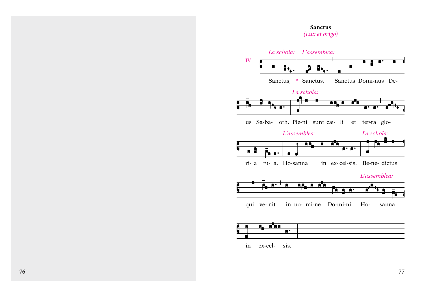## **Sanctus** *(Lux et origo)*



in ex-cel- sis.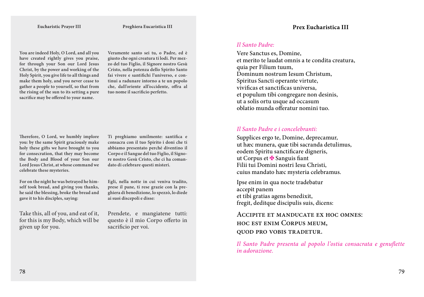**You are indeed Holy, O Lord, and all you have created rightly gives you praise, for through your Son our Lord Jesus Christ, by the power and working of the Holy Spirit, you give life to all things and make them holy, and you never cease to gather a people to yourself, so that from the rising of the sun to its setting a pure sacrifice may be offered to your name.**

**Veramente santo sei tu, o Padre, ed è giusto che ogni creatura ti lodi. Per mezzo del tuo Figlio, il Signore nostro Gesù Cristo, nella potenza dello Spirito Santo fai vivere e santifichi l'universo, e continui a radunare intorno a te un popolo che, dall'oriente all'occidente, offra al tuo nome il sacrificio perfetto.**

**Therefore, O Lord, we humbly implore you: by the same Spirit graciously make holy these gifts we have brought to you for consecration, that they may become the Body and Blood of your Son our Lord Jesus Christ, at whose command we celebrate these mysteries.**

**For on the night he was betrayed he himself took bread, and giving you thanks, he said the blessing, broke the bread and gave it to his disciples, saying:**

Take this, all of you, and eat of it, for this is my Body, which will be given up for you.

**Ti preghiamo umilmente: santifica e consacra con il tuo Spirito i doni che ti abbiamo presentato perché diventino il Corpo e il Sangue del tuo Figlio, il Signore nostro Gesù Cristo, che ci ha comandato di celebrare questi misteri.**

**Egli, nella notte in cui veniva tradito, prese il pane, ti rese grazie con la preghiera di benedizione, lo spezzò, lo diede ai suoi discepoli e disse:**

Prendete, e mangiatene tutti: questo è il mio Corpo offerto in sacrificio per voi.

## **Prex Eucharistica III**

## *Il Santo Padre:*

Vere Sanctus es, Domine, et merito te laudat omnis a te condita creatura, quia per Filium tuum, Dominum nostrum Iesum Christum, Spiritus Sancti operante virtute, vivificas et sanctificas universa, et populum tibi congregare non desinis, ut a solis ortu usque ad occasum oblatio munda offeratur nomini tuo.

## *Il Santo Padre e i concelebranti:*

Supplices ergo te, Domine, deprecamur, ut hæc munera, quæ tibi sacranda detulimus, eodem Spiritu sanctificare digneris, ut Corpus et X Sanguis fiant Filii tui Domini nostri Iesu Christi, cuius mandato hæc mysteria celebramus.

Ipse enim in qua nocte tradebatur accepit panem et tibi gratias agens benedixit, fregit, deditque discipulis suis, dicens:

Accipite et manducate ex hoc omnes: hoc est enim Corpus meum, quod pro vobis tradetur.

*Il Santo Padre presenta al popolo l'ostia consacrata e genuflette in adorazione.*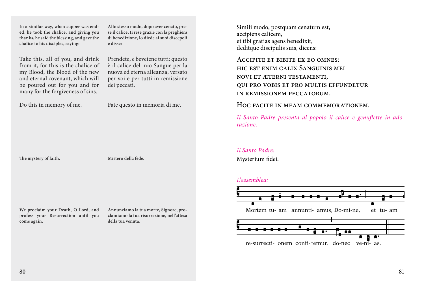**In a similar way, when supper was ended, he took the chalice, and giving you thanks, he said the blessing, and gave the chalice to his disciples, saying:**

**Allo stesso modo, dopo aver cenato, prese il calice, ti rese grazie con la preghiera di benedizione, lo diede ai suoi discepoli e disse:**

Take this, all of you, and drink from it, for this is the chalice of my Blood, the Blood of the new and eternal covenant, which will be poured out for you and for many for the forgiveness of sins.

Prendete, e bevetene tutti: questo è il calice del mio Sangue per la nuova ed eterna alleanza, versato per voi e per tutti in remissione dei peccati.

Do this in memory of me. Fate questo in memoria di me.

**The mystery of faith. Mistero della fede.**

**We proclaim your Death, O Lord, and profess your Resurrection until you come again.**

**Annunciamo la tua morte, Signore, proclamiamo la tua risurrezione, nell'attesa della tua venuta.** 

Simili modo, postquam cenatum est, accipiens calicem, et tibi gratias agens benedixit, deditque discipulis suis, dicens:

Accipite et bibite ex eo omnes: hic est enim calix Sanguinis mei novi et æterni testamenti, qui pro vobis et pro multis effundetur in remissionem peccatorum.

## Hoc facite in meam commemorationem.

*Il Santo Padre presenta al popolo il calice e genuflette in adorazione.*

## *Il Santo Padre:*

Mysterium fidei.

## *L'assemblea:*

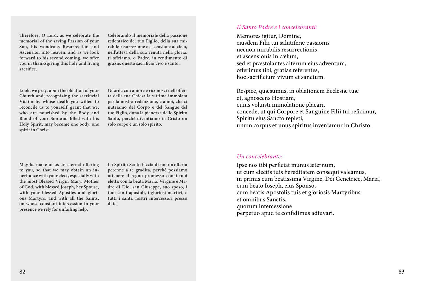**Therefore, O Lord, as we celebrate the memorial of the saving Passion of your Son, his wondrous Resurrection and Ascension into heaven, and as we look forward to his second coming, we offer you in thanksgiving this holy and living sacrifice.**

**Celebrando il memoriale della passione redentrice del tuo Figlio, della sua mirabile risurrezione e ascensione al cielo, nell'attesa della sua venuta nella gloria, ti offriamo, o Padre, in rendimento di grazie, questo sacrificio vivo e santo.**

**Look, we pray, upon the oblation of your Church and, recognizing the sacrificial Victim by whose death you willed to reconcile us to yourself, grant that we, who are nourished by the Body and Blood of your Son and filled with his Holy Spirit, may become one body, one spirit in Christ.**

**Guarda con amore e riconosci nell'offerta della tua Chiesa la vittima immolata per la nostra redenzione, e a noi, che ci nutriamo del Corpo e del Sangue del tuo Figlio, dona la pienezza dello Spirito Santo, perché diventiamo in Cristo un solo corpo e un solo spirito.**

**May he make of us an eternal offering to you, so that we may obtain an inheritance with your elect, especially with the most Blessed Virgin Mary, Mother of God, with blessed Joseph, her Spouse, with your blessed Apostles and glorious Martyrs, and with all the Saints, on whose constant intercession in your presence we rely for unfailing help.**

**Lo Spirito Santo faccia di noi un'offerta perenne a te gradita, perché possiamo ottenere il regno promesso con i tuoi eletti: con la beata Maria, Vergine e Madre di Dio, san Giuseppe, suo sposo, i tuoi santi apostoli, i gloriosi martiri, e tutti i santi, nostri intercessori presso di te.**

## *Il Santo Padre e i concelebranti:*

Memores igitur, Domine, eiusdem Filii tui salutiferæ passionis necnon mirabilis resurrectionis et ascensionis in cælum, sed et præstolantes alterum eius adventum, offerimus tibi, gratias referentes, hoc sacrificium vivum et sanctum.

Respice, quæsumus, in oblationem Ecclesiæ tuæ et, agnoscens Hostiam, cuius voluisti immolatione placari, concede, ut qui Corpore et Sanguine Filii tui reficimur, Spiritu eius Sancto repleti, unum corpus et unus spiritus inveniamur in Christo.

## *Un concelebrante:*

Ipse nos tibi perficiat munus æternum, ut cum electis tuis hereditatem consequi valeamus, in primis cum beatissima Virgine, Dei Genetrice, Maria, cum beato Ioseph, eius Sponso, cum beatis Apostolis tuis et gloriosis Martyribus et omnibus Sanctis, quorum intercessione perpetuo apud te confidimus adiuvari.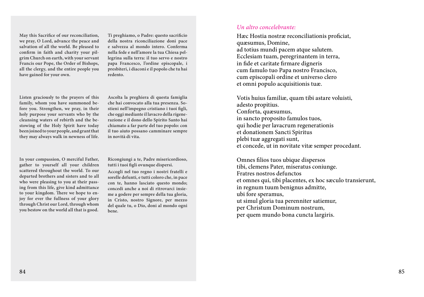**May this Sacrifice of our reconciliation, we pray, O Lord, advance the peace and salvation of all the world. Be pleased to confirm in faith and charity your pilgrim Church on earth, with your servant Francis our Pope, the Order of Bishops, all the clergy, and the entire people you have gained for your own.** 

**Listen graciously to the prayers of this family, whom you have summoned before you. Strengthen, we pray, in their holy purpose your servants who by the cleansing waters of rebirth and the bestowing of the Holy Spirit have today been joined to your people, and grant that they may always walk in newness of life.**

**In your compassion, O merciful Father, gather to yourself all your children scattered throughout the world. To our departed brothers and sisters and to all who were pleasing to you at their passing from this life, give kind admittance to your kingdom. There we hope to enjoy for ever the fullness of your glory through Christ our Lord, through whom you bestow on the world all that is good.**

**Ti preghiamo, o Padre: questo sacrificio della nostra riconciliazione doni pace e salvezza al mondo intero. Conferma nella fede e nell'amore la tua Chiesa pellegrina sulla terra: il tuo servo e nostro papa Francesco, l'ordine episcopale, i presbiteri, i diaconi e il popolo che tu hai redento.**

**Ascolta la preghiera di questa famiglia che hai convocato alla tua presenza. Sostieni nell'impegno cristiano i tuoi figli, che oggi mediante il lavacro della rigenerazione e il dono dello Spirito Santo hai chiamato a far parte del tuo popolo: con il tuo aiuto possano camminare sempre in novità di vita.**

**Ricongiungi a te, Padre misericordioso, tutti i tuoi figli ovunque dispersi.**

**Accogli nel tuo regno i nostri fratelli e sorelle defunti, e tutti coloro che, in pace con te, hanno lasciato questo mondo; concedi anche a noi di ritrovarci insieme a godere per sempre della tua gloria, in Cristo, nostro Signore, per mezzo del quale tu, o Dio, doni al mondo ogni bene.**

## *Un altro concelebrante:*

Hæc Hostia nostræ reconciliationis proficiat, quæsumus, Domine, ad totius mundi pacem atque salutem. Ecclesiam tuam, peregrinantem in terra, in fide et caritate firmare digneris cum famulo tuo Papa nostro Francisco, cum episcopali ordine et universo clero et omni populo acquisitionis tuæ.

Votis huius familiæ, quam tibi astare voluisti, adesto propitius. Conforta, quæsumus, in sancto proposito famulos tuos, qui hodie per lavacrum regenerationis et donationem Sancti Spiritus plebi tuæ aggregati sunt, et concede, ut in novitate vitæ semper procedant.

Omnes filios tuos ubique dispersos tibi, clemens Pater, miseratus coniunge. Fratres nostros defunctos et omnes qui, tibi placentes, ex hoc sæculo transierunt, in regnum tuum benignus admitte, ubi fore speramus, ut simul gloria tua perenniter satiemur, per Christum Dominum nostrum, per quem mundo bona cuncta largiris.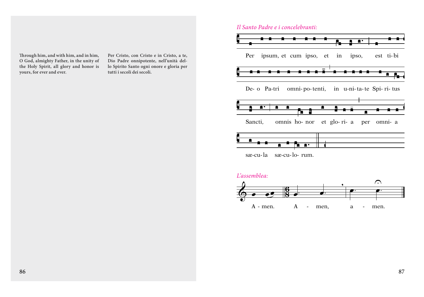**Through him, and with him, and in him, O God, almighty Father, in the unity of the Holy Spirit, all glory and honor is yours, for ever and ever.**

**Per Cristo, con Cristo e in Cristo, a te, Dio Padre onnipotente, nell'unità dello Spirito Santo ogni onore e gloria per tutti i secoli dei secoli.** 

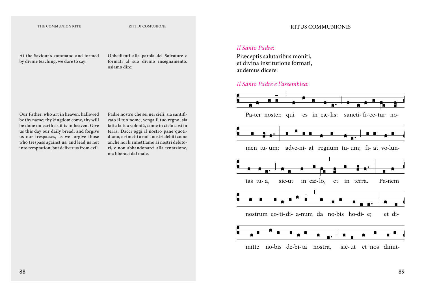**At the Saviour's command and formed by divine teaching, we dare to say:**

**Obbedienti alla parola del Salvatore e formati al suo divino insegnamento, osiamo dire:**

**Our Father, who art in heaven, hallowed be thy name; thy kingdom come, thy will be done on earth as it is in heaven. Give us this day our daily bread, and forgive us our trespasses, as we forgive those who trespass against us; and lead us not into temptation, but deliver us from evil.**

**Padre nostro che sei nei cieli, sia santificato il tuo nome, venga il tuo regno, sia fatta la tua volontà, come in cielo così in terra. Dacci oggi il nostro pane quotidiano, e rimetti a noi i nostri debiti come anche noi li rimettiamo ai nostri debitori, e non abbandonarci alla tentazione, ma liberaci dal male.**

### RITUS COMMUNIONIS

## *Il Santo Padre:*

Præceptis salutaribus moniti, et divina institutione formati, audemus dicere:

## *Il Santo Padre e l'assemblea:*



Pa-ter noster, qui es in cæ-lis: sancti- fi- ce-tur no-



men tu- um; adve-ni- at regnum tu- um; fi- at vo-lun-



mitte no-bis de-bi-ta nostra, sic-ut et nos dimit-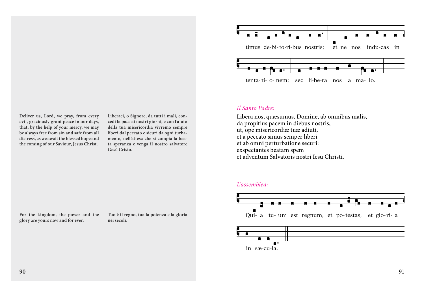



tenta-ti- o- nem; sed li-be-ra nos a ma- lo.

## *Il Santo Padre:*

Libera nos, quæsumus, Domine, ab omnibus malis, da propitius pacem in diebus nostris, ut, ope misericordiæ tuæ adiuti, et a peccato simus semper liberi et ab omni perturbatione securi: exspectantes beatam spem et adventum Salvatoris nostri Iesu Christi.

## *L'assemblea:*





**Deliver us, Lord, we pray, from every evil, graciously grant peace in our days, that, by the help of your mercy, we may be always free from sin and safe from all distress, as we await the blessed hope and the coming of our Saviour, Jesus Christ.**

**Liberaci, o Signore, da tutti i mali, concedi la pace ai nostri giorni, e con l'aiuto della tua misericordia vivremo sempre liberi dal peccato e sicuri da ogni turbamento, nell'attesa che si compia la beata speranza e venga il nostro salvatore Gesù Cristo.**

**For the kingdom, the power and the glory are yours now and for ever.**

**Tuo è il regno, tua la potenza e la gloria nei secoli.**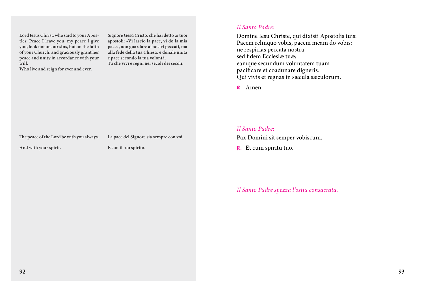**Lord Jesus Christ, who said to your Apostles: Peace I leave you, my peace I give you, look not on our sins, but on the faith of your Church, and graciously grant her peace and unity in accordance with your will.**

**Who live and reign for ever and ever.**

**Signore Gesù Cristo, che hai detto ai tuoi apostoli: «Vi lascio la pace, vi do la mia pace», non guardare ai nostri peccati, ma alla fede della tua Chiesa, e donale unità e pace secondo la tua volontà. Tu che vivi e regni nei secoli dei secoli.**

## *Il Santo Padre:*

Domine Iesu Christe, qui dixisti Apostolis tuis: Pacem relinquo vobis, pacem meam do vobis: ne respicias peccata nostra, sed fidem Ecclesiæ tuæ; eamque secundum voluntatem tuam pacificare et coadunare digneris. Qui vivis et regnas in sæcula sæculorum.

R. Amen.

#### **The peace of the Lord be with you always. La pace del Signore sia sempre con voi.**

**And with your spirit. E con il tuo spirito.** 

## *Il Santo Padre:*

Pax Domini sit semper vobiscum.

R. Et cum spiritu tuo.

*Il Santo Padre spezza l'ostia consacrata.*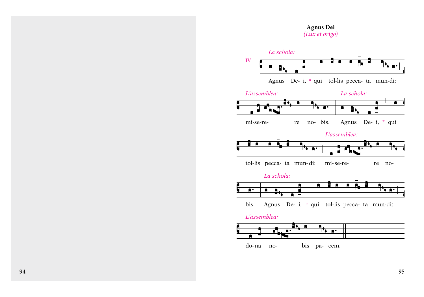## **Agnus Dei** *(Lux et origo)*



do-na no- bis pa- cem.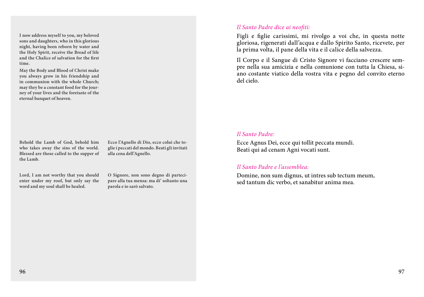**I now address myself to you, my beloved sons and daughters, who in this glorious night, having been reborn by water and the Holy Spirit, receive the Bread of life and the Chalice of salvation for the first time.** 

**May the Body and Blood of Christ make you always grow in his friendship and in communion with the whole Church; may they be a constant food for the journey of your lives and the foretaste of the eternal banquet of heaven.**

**Behold the Lamb of God, behold him who takes away the sins of the world. Blessed are those called to the supper of the Lamb.**

**Ecco l'Agnello di Dio, ecco colui che toglie i peccati del mondo. Beati gli invitati alla cena dell'Agnello.**

**Lord, I am not worthy that you should enter under my roof, but only say the word and my soul shall be healed.**

**O Signore, non sono degno di partecipare alla tua mensa: ma di' soltanto una parola e io sarò salvato.** 

## *Il Santo Padre dice ai neofiti:*

Figli e figlie carissimi, mi rivolgo a voi che, in questa notte gloriosa, rigenerati dall'acqua e dallo Spirito Santo, ricevete, per la prima volta, il pane della vita e il calice della salvezza.

Il Corpo e il Sangue di Cristo Signore vi facciano crescere sempre nella sua amicizia e nella comunione con tutta la Chiesa, siano costante viatico della vostra vita e pegno del convito eterno del cielo.

## *Il Santo Padre:*

Ecce Agnus Dei, ecce qui tollit peccata mundi. Beati qui ad cenam Agni vocati sunt.

## *Il Santo Padre e l'assemblea:*

Domine, non sum dignus, ut intres sub tectum meum, sed tantum dic verbo, et sanabitur anima mea.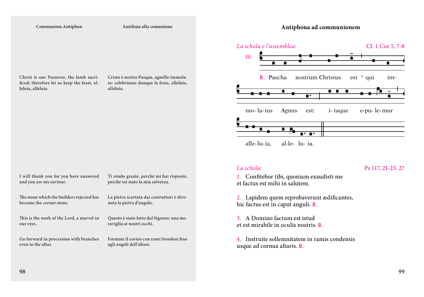**Communion Antiphon Antifona alla comunione**

**Antiphona ad communionem**

**Christ is our Passover, the lamb sacrificed; therefore let us keep the feast, alleluia, alleluia.**

**Cristo è nostra Pasqua, agnello immolato: celebriamo dunque la festa, alleluia, alleluia.**

| I will thank you for you have answered    | Ti rendo grazie, perché mi hai risposto,   |
|-------------------------------------------|--------------------------------------------|
| and you are my saviour.                   | perché sei stato la mia salvezza.          |
| The stone which the builders rejected has | La pietra scartata dai costruttori è dive- |
| become the corner stone.                  | nuta la pietra d'angolo.                   |
| This is the work of the Lord, a marvel in | Questo è stato fatto dal Signore: una me-  |
| our eyes.                                 | raviglia ai nostri occhi.                  |
| Co forward in procession with branches    | Eormate il corteo con rami frondosi fino   |

**Go forward in procession with branches even to the altar.**

**Formate il corteo con rami frondosi fino agli angoli dell'altare.**



alle-lu-ia, al-le- lu- ia.

*La schola:* Ps 117, 21-23. 27

1. Confitebor tibi, quoniam exaudisti me et factus est mihi in salutem.

2. Lapidem quem reprobaverunt ædificantes, hic factus est in caput anguli.  $\hat{\mathbf{R}}$ .

3. A Domino factum est istud et est mirabile in oculis nostris.  $\hat{\mathbf{R}}$ .

4. Instruite sollemnitatem in ramis condensis usque ad cornua altaris.  $\hat{\mathbf{R}}$ .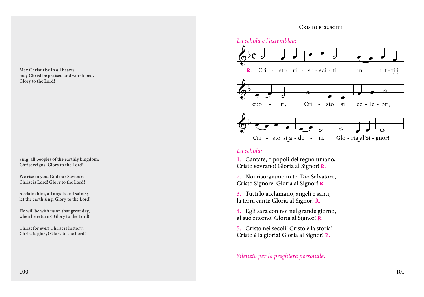

## *La schola e l'assemblea:*



*La schola:*

1. Cantate, o popoli del regno umano, Cristo sovrano! Gloria al Signor!  $\hat{\mathbf{R}}$ .

2. Noi risorgiamo in te, Dio Salvatore, Cristo Signore! Gloria al Signor! C .

3. Tutti lo acclamano, angeli e santi, la terra canti: Gloria al Signor! R.

4. Egli sarà con noi nel grande giorno, al suo ritorno! Gloria al Signor! R.

5. Cristo nei secoli! Cristo è la storia! Cristo è la gloria! Gloria al Signor! R.

*Silenzio per la preghiera personale.*

**May Christ rise in all hearts, may Christ be praised and worshiped. Glory to the Lord!**

**Sing, all peoples of the earthly kingdom; Christ reigns! Glory to the Lord!**

**We rise in you, God our Saviour; Christ is Lord! Glory to the Lord!**

**Acclaim him, all angels and saints; let the earth sing: Glory to the Lord!**

**He will be with us on that great day, when he returns! Glory to the Lord!**

**Christ for ever! Christ is history! Christ is glory! Glory to the Lord!**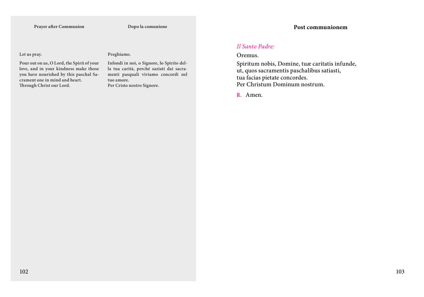## **Post communionem**

### **Let us pray. Preghiamo.**

**Pour out on us, O Lord, the Spirit of your love, and in your kindness make those you have nourished by this paschal Sacrament one in mind and heart. Through Christ our Lord.**

**Infondi in noi, o Signore, lo Spirito della tua carità, perché saziati dai sacramenti pasquali viviamo concordi nel tuo amore. Per Cristo nostro Signore.**

## *Il Santo Padre:*

Oremus.

Spiritum nobis, Domine, tuæ caritatis infunde, ut, quos sacramentis paschalibus satiasti, tua facias pietate concordes. Per Christum Dominum nostrum.

R. Amen.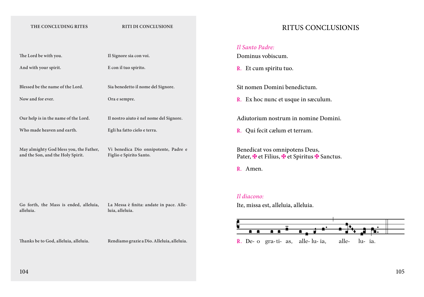## **THE CONCLUDING RITES RITI DI CONCLUSIONE**

| The Lord be with you.                                                        | Il Signore sia con voi.                                         |
|------------------------------------------------------------------------------|-----------------------------------------------------------------|
| And with your spirit.                                                        | E con il tuo spirito.                                           |
|                                                                              |                                                                 |
| Blessed be the name of the Lord.                                             | Sia benedetto il nome del Signore.                              |
| Now and for ever.                                                            | Ora e sempre.                                                   |
|                                                                              |                                                                 |
| Our help is in the name of the Lord.                                         | Il nostro aiuto è nel nome del Signore.                         |
| Who made heaven and earth.                                                   | Egli ha fatto cielo e terra.                                    |
|                                                                              |                                                                 |
| May almighty God bless you, the Father,<br>and the Son, and the Holy Spirit. | Vi benedica Dio onnipotente, Padre e<br>Figlio e Spirito Santo. |
|                                                                              |                                                                 |
|                                                                              |                                                                 |
|                                                                              |                                                                 |

**Go forth, the Mass is ended, alleluia, alleluia.**

**La Messa è finita: andate in pace. Alleluia, alleluia.**

**Thanks be to God, alleluia, alleluia. Rendiamo grazie a Dio. Alleluia, alleluia.**

## RITUS CONCLUSIONIS

| Il Santo Padre:<br>Dominus vobiscum.                                          |  |  |  |
|-------------------------------------------------------------------------------|--|--|--|
| R. Et cum spiritu tuo.                                                        |  |  |  |
| Sit nomen Domini benedictum.                                                  |  |  |  |
| $\hat{\mathbf{R}}$ . Ex hoc nunc et usque in sæculum.                         |  |  |  |
| Adjutorium nostrum in nomine Domini.                                          |  |  |  |
| R. Qui fecit cælum et terram.                                                 |  |  |  |
| Benedicat vos omnipotens Deus,<br>Pater, Het Filius, Het Spiritus He Sanctus. |  |  |  |
| R. Amen.                                                                      |  |  |  |

## *Il diacono:*

Ite, missa est, alleluia, alleluia.



R. De- o gra-ti- as, alle- lu- ia, alle- lu- ia.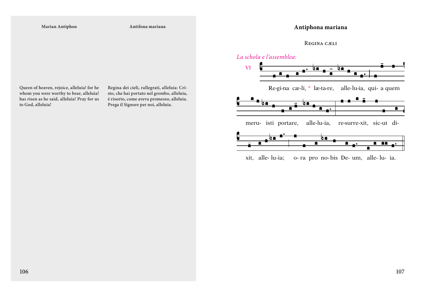**Marian Antiphon Antifona mariana**

## **Antiphona mariana**

## Regina cæli

## *La schola e l'assemblea:*



xit, alle- lu-ia; o- ra pro no-bis De- um, alle- lu- ia.

**Queen of heaven, rejoice, alleluia! for he whom you were worthy to bear, alleluia! has risen as he said, alleluia! Pray for us to God, alleluia!**

**Regina dei cieli, rallegrati, alleluia: Cristo, che hai portato nel grembo, alleluia, è risorto, come aveva promesso, alleluia. Prega il Signore per noi, alleluia.**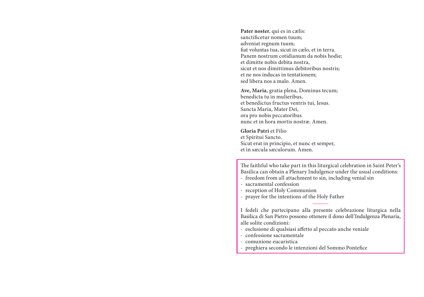**Pater noster**, qui es in cælis: sanctificetur nomen tuum; adveniat regnum tuum; fiat voluntas tua, sicut in cælo, et in terra. Panem nostrum cotidianum da nobis hodie; et dimitte nobis debita nostra, sicut et nos dimittimus debitoribus nostris; et ne nos inducas in tentationem; sed libera nos a malo. Amen.

**Ave, Maria**, gratia plena, Dominus tecum; benedicta tu in mulieribus, et benedictus fructus ventris tui, Iesus. Sancta Maria, Mater Dei, ora pro nobis peccatoribus nunc et in hora mortis nostræ. Amen.

**Gloria Patri** et Filio et Spiritui Sancto. Sicut erat in principio, et nunc et semper, et in sæcula sæculorum. Amen.

The faithful who take part in this liturgical celebration in Saint Peter's Basilica can obtain a Plenary Indulgence under the usual conditions:

- freedom from all attachment to sin, including venial sin
- sacramental confession
- reception of Holy Communion
- prayer for the intentions of the Holy Father

I fedeli che partecipano alla presente celebrazione liturgica nella Basilica di San Pietro possono ottenere il dono dell'Indulgenza Plenaria, alle solite condizioni:

- esclusione di qualsiasi affetto al peccato anche veniale
- confessione sacramentale
- comunione eucaristica
- preghiera secondo le intenzioni del Sommo Pontefice